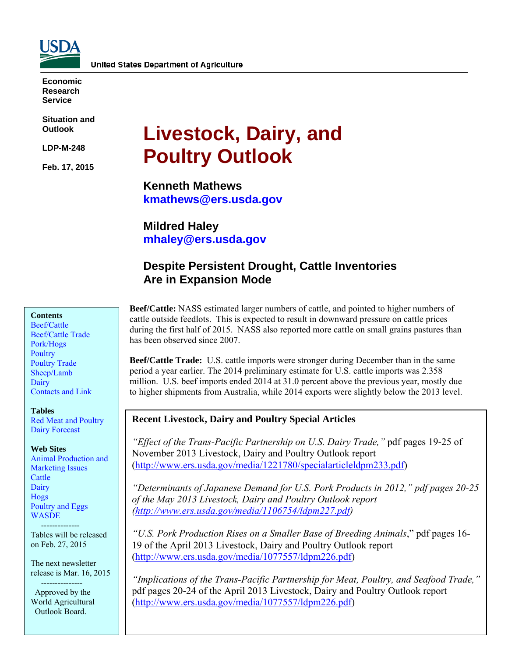

**Economic Research Service** 

**Situation and Outlook** 

**LDP-M-248** 

**Feb. 17, 2015** 

# **Livestock, Dairy, and Poultry Outlook**

**Kenneth Mathews kmathews@ers.usda.gov** 

**Mildred Haley mhaley@ers.usda.gov** 

# **Despite Persistent Drought, Cattle Inventories Are in Expansion Mode**

#### **Contents**

[Beef/Cattle](#page-2-0)  [Beef/Cattle Trade](#page-3-0)  [Pork/Hogs](#page-4-0)  **Poultry** [Poultry Trade](#page-10-0)  [Sheep/Lamb](#page-13-0)  **Dairy** [Contacts and Link](#page-19-0) 

#### **Tables**

[Red Meat and Poultry](#page-20-0)  [Dairy Forecast](#page-21-0) 

#### **Web Sites**

[Animal Production and](http://www.ers.usda.gov/topics/animal-products/animal-production-marketing-issues.aspx)  Marketing Issues **Cattle** [Dairy](http://www.ers.usda.gov/topics/animal-products/dairy.aspx)  **Hogs** [Poultry and Eggs](http://www.ers.usda.gov/topics/animal-products/poultry-eggs.aspx)  [WASDE](http://usda.mannlib.cornell.edu/MannUsda/viewDocumentInfo.do?documentID=1194) 

 -------------- Tables will be released on Feb. 27, 2015

The next newsletter release is Mar. 16, 2015 ---------------

 Approved by the World Agricultural Outlook Board.

**Beef/Cattle:** NASS estimated larger numbers of cattle, and pointed to higher numbers of cattle outside feedlots. This is expected to result in downward pressure on cattle prices during the first half of 2015. NASS also reported more cattle on small grains pastures than has been observed since 2007.

**Beef/Cattle Trade:** U.S. cattle imports were stronger during December than in the same period a year earlier. The 2014 preliminary estimate for U.S. cattle imports was 2.358 million. U.S. beef imports ended 2014 at 31.0 percent above the previous year, mostly due to higher shipments from Australia, while 2014 exports were slightly below the 2013 level.

## **Recent Livestock, Dairy and Poultry Special Articles**

*"Effect of the Trans-Pacific Partnership on U.S. Dairy Trade,"* pdf pages 19-25 of November 2013 Livestock, Dairy and Poultry Outlook report (http://www.ers.usda.gov/media/1221780/specialarticleldpm233.pdf)

*"Determinants of Japanese Demand for U.S. Pork Products in 2012," pdf pages 20-25 of the May 2013 Livestock, Dairy and Poultry Outlook report (http://www.ers.usda.gov/media/1106754/ldpm227.pdf)* 

*"U.S. Pork Production Rises on a Smaller Base of Breeding Animals*," pdf pages 16- 19 of the April 2013 Livestock, Dairy and Poultry Outlook report (http://www.ers.usda.gov/media/1077557/ldpm226.pdf)

*"Implications of the Trans-Pacific Partnership for Meat, Poultry, and Seafood Trade,"* pdf pages 20-24 of the April 2013 Livestock, Dairy and Poultry Outlook report (http://www.ers.usda.gov/media/1077557/ldpm226.pdf)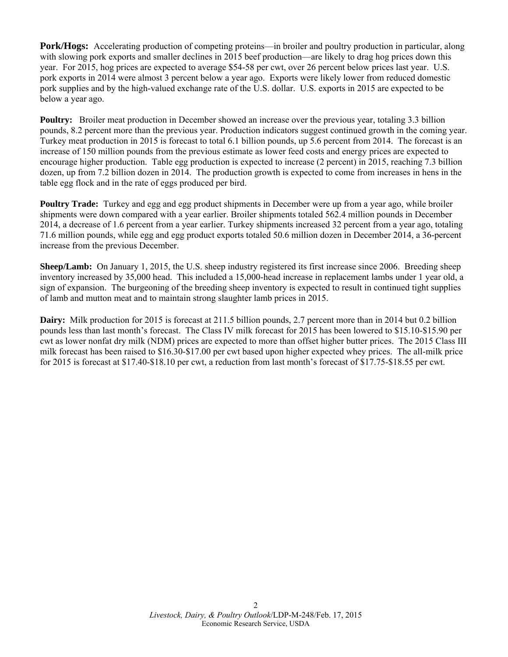**Pork/Hogs:** Accelerating production of competing proteins—in broiler and poultry production in particular, along with slowing pork exports and smaller declines in 2015 beef production—are likely to drag hog prices down this year. For 2015, hog prices are expected to average \$54-58 per cwt, over 26 percent below prices last year. U.S. pork exports in 2014 were almost 3 percent below a year ago. Exports were likely lower from reduced domestic pork supplies and by the high-valued exchange rate of the U.S. dollar. U.S. exports in 2015 are expected to be below a year ago.

**Poultry:** Broiler meat production in December showed an increase over the previous year, totaling 3.3 billion pounds, 8.2 percent more than the previous year. Production indicators suggest continued growth in the coming year. Turkey meat production in 2015 is forecast to total 6.1 billion pounds, up 5.6 percent from 2014. The forecast is an increase of 150 million pounds from the previous estimate as lower feed costs and energy prices are expected to encourage higher production. Table egg production is expected to increase (2 percent) in 2015, reaching 7.3 billion dozen, up from 7.2 billion dozen in 2014. The production growth is expected to come from increases in hens in the table egg flock and in the rate of eggs produced per bird.

**Poultry Trade:** Turkey and egg and egg product shipments in December were up from a year ago, while broiler shipments were down compared with a year earlier. Broiler shipments totaled 562.4 million pounds in December 2014, a decrease of 1.6 percent from a year earlier. Turkey shipments increased 32 percent from a year ago, totaling 71.6 million pounds, while egg and egg product exports totaled 50.6 million dozen in December 2014, a 36-percent increase from the previous December.

**Sheep/Lamb:** On January 1, 2015, the U.S. sheep industry registered its first increase since 2006. Breeding sheep inventory increased by 35,000 head. This included a 15,000-head increase in replacement lambs under 1 year old, a sign of expansion. The burgeoning of the breeding sheep inventory is expected to result in continued tight supplies of lamb and mutton meat and to maintain strong slaughter lamb prices in 2015.

**Dairy:** Milk production for 2015 is forecast at 211.5 billion pounds, 2.7 percent more than in 2014 but 0.2 billion pounds less than last month's forecast. The Class IV milk forecast for 2015 has been lowered to \$15.10-\$15.90 per cwt as lower nonfat dry milk (NDM) prices are expected to more than offset higher butter prices. The 2015 Class III milk forecast has been raised to \$16.30-\$17.00 per cwt based upon higher expected whey prices. The all-milk price for 2015 is forecast at \$17.40-\$18.10 per cwt, a reduction from last month's forecast of \$17.75-\$18.55 per cwt.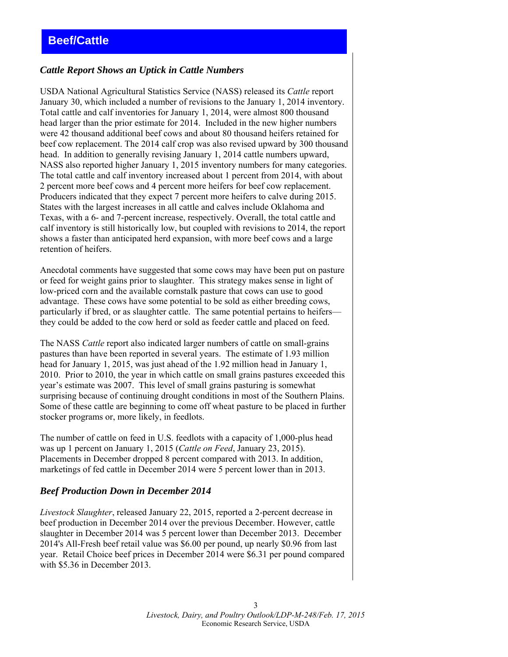# <span id="page-2-0"></span>*Cattle Report Shows an Uptick in Cattle Numbers*

USDA National Agricultural Statistics Service (NASS) released its *Cattle* report January 30, which included a number of revisions to the January 1, 2014 inventory. Total cattle and calf inventories for January 1, 2014, were almost 800 thousand head larger than the prior estimate for 2014. Included in the new higher numbers were 42 thousand additional beef cows and about 80 thousand heifers retained for beef cow replacement. The 2014 calf crop was also revised upward by 300 thousand head. In addition to generally revising January 1, 2014 cattle numbers upward, NASS also reported higher January 1, 2015 inventory numbers for many categories. The total cattle and calf inventory increased about 1 percent from 2014, with about 2 percent more beef cows and 4 percent more heifers for beef cow replacement. Producers indicated that they expect 7 percent more heifers to calve during 2015. States with the largest increases in all cattle and calves include Oklahoma and Texas, with a 6- and 7-percent increase, respectively. Overall, the total cattle and calf inventory is still historically low, but coupled with revisions to 2014, the report shows a faster than anticipated herd expansion, with more beef cows and a large retention of heifers.

Anecdotal comments have suggested that some cows may have been put on pasture or feed for weight gains prior to slaughter. This strategy makes sense in light of low-priced corn and the available cornstalk pasture that cows can use to good advantage. These cows have some potential to be sold as either breeding cows, particularly if bred, or as slaughter cattle. The same potential pertains to heifers they could be added to the cow herd or sold as feeder cattle and placed on feed.

The NASS *Cattle* report also indicated larger numbers of cattle on small-grains pastures than have been reported in several years. The estimate of 1.93 million head for January 1, 2015, was just ahead of the 1.92 million head in January 1, 2010. Prior to 2010, the year in which cattle on small grains pastures exceeded this year's estimate was 2007. This level of small grains pasturing is somewhat surprising because of continuing drought conditions in most of the Southern Plains. Some of these cattle are beginning to come off wheat pasture to be placed in further stocker programs or, more likely, in feedlots.

The number of cattle on feed in U.S. feedlots with a capacity of 1,000-plus head was up 1 percent on January 1, 2015 (*Cattle on Feed*, January 23, 2015). Placements in December dropped 8 percent compared with 2013. In addition, marketings of fed cattle in December 2014 were 5 percent lower than in 2013.

#### *Beef Production Down in December 2014*

*Livestock Slaughter*, released January 22, 2015, reported a 2-percent decrease in beef production in December 2014 over the previous December. However, cattle slaughter in December 2014 was 5 percent lower than December 2013. December 2014's All-Fresh beef retail value was \$6.00 per pound, up nearly \$0.96 from last year. Retail Choice beef prices in December 2014 were \$6.31 per pound compared with \$5.36 in December 2013.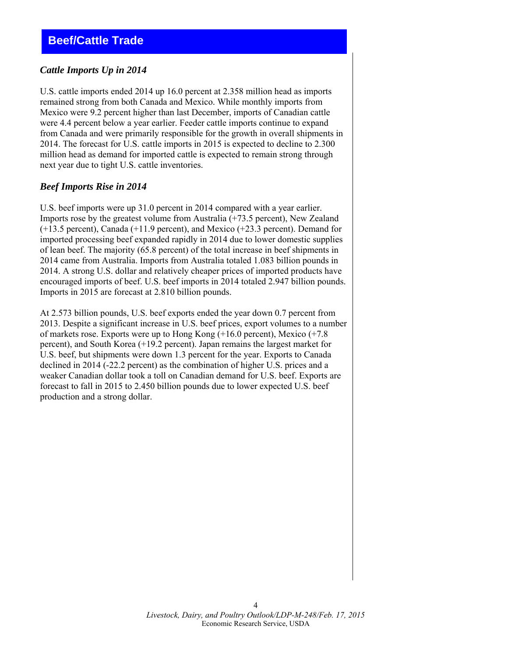# <span id="page-3-0"></span>*Cattle Imports Up in 2014*

U.S. cattle imports ended 2014 up 16.0 percent at 2.358 million head as imports remained strong from both Canada and Mexico. While monthly imports from Mexico were 9.2 percent higher than last December, imports of Canadian cattle were 4.4 percent below a year earlier. Feeder cattle imports continue to expand from Canada and were primarily responsible for the growth in overall shipments in 2014. The forecast for U.S. cattle imports in 2015 is expected to decline to 2.300 million head as demand for imported cattle is expected to remain strong through next year due to tight U.S. cattle inventories.

## *Beef Imports Rise in 2014*

U.S. beef imports were up 31.0 percent in 2014 compared with a year earlier. Imports rose by the greatest volume from Australia (+73.5 percent), New Zealand (+13.5 percent), Canada (+11.9 percent), and Mexico (+23.3 percent). Demand for imported processing beef expanded rapidly in 2014 due to lower domestic supplies of lean beef. The majority (65.8 percent) of the total increase in beef shipments in 2014 came from Australia. Imports from Australia totaled 1.083 billion pounds in 2014. A strong U.S. dollar and relatively cheaper prices of imported products have encouraged imports of beef. U.S. beef imports in 2014 totaled 2.947 billion pounds. Imports in 2015 are forecast at 2.810 billion pounds.

At 2.573 billion pounds, U.S. beef exports ended the year down 0.7 percent from 2013. Despite a significant increase in U.S. beef prices, export volumes to a number of markets rose. Exports were up to Hong Kong (+16.0 percent), Mexico (+7.8 percent), and South Korea (+19.2 percent). Japan remains the largest market for U.S. beef, but shipments were down 1.3 percent for the year. Exports to Canada declined in 2014 (-22.2 percent) as the combination of higher U.S. prices and a weaker Canadian dollar took a toll on Canadian demand for U.S. beef. Exports are forecast to fall in 2015 to 2.450 billion pounds due to lower expected U.S. beef production and a strong dollar.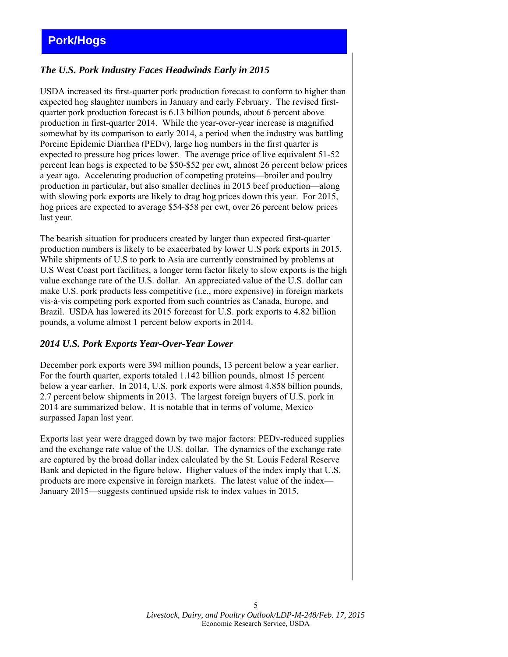# <span id="page-4-0"></span>**Pork/Hogs**

# *The U.S. Pork Industry Faces Headwinds Early in 2015*

USDA increased its first-quarter pork production forecast to conform to higher than expected hog slaughter numbers in January and early February. The revised firstquarter pork production forecast is 6.13 billion pounds, about 6 percent above production in first-quarter 2014. While the year-over-year increase is magnified somewhat by its comparison to early 2014, a period when the industry was battling Porcine Epidemic Diarrhea (PEDv), large hog numbers in the first quarter is expected to pressure hog prices lower. The average price of live equivalent 51-52 percent lean hogs is expected to be \$50-\$52 per cwt, almost 26 percent below prices a year ago. Accelerating production of competing proteins—broiler and poultry production in particular, but also smaller declines in 2015 beef production—along with slowing pork exports are likely to drag hog prices down this year. For 2015, hog prices are expected to average \$54-\$58 per cwt, over 26 percent below prices last year.

The bearish situation for producers created by larger than expected first-quarter production numbers is likely to be exacerbated by lower U.S pork exports in 2015. While shipments of U.S to pork to Asia are currently constrained by problems at U.S West Coast port facilities, a longer term factor likely to slow exports is the high value exchange rate of the U.S. dollar. An appreciated value of the U.S. dollar can make U.S. pork products less competitive (i.e., more expensive) in foreign markets vis-à-vis competing pork exported from such countries as Canada, Europe, and Brazil. USDA has lowered its 2015 forecast for U.S. pork exports to 4.82 billion pounds, a volume almost 1 percent below exports in 2014.

#### *2014 U.S. Pork Exports Year-Over-Year Lower*

December pork exports were 394 million pounds, 13 percent below a year earlier. For the fourth quarter, exports totaled 1.142 billion pounds, almost 15 percent below a year earlier. In 2014, U.S. pork exports were almost 4.858 billion pounds, 2.7 percent below shipments in 2013. The largest foreign buyers of U.S. pork in 2014 are summarized below. It is notable that in terms of volume, Mexico surpassed Japan last year.

Exports last year were dragged down by two major factors: PEDv-reduced supplies and the exchange rate value of the U.S. dollar. The dynamics of the exchange rate are captured by the broad dollar index calculated by the St. Louis Federal Reserve Bank and depicted in the figure below. Higher values of the index imply that U.S. products are more expensive in foreign markets. The latest value of the index— January 2015—suggests continued upside risk to index values in 2015.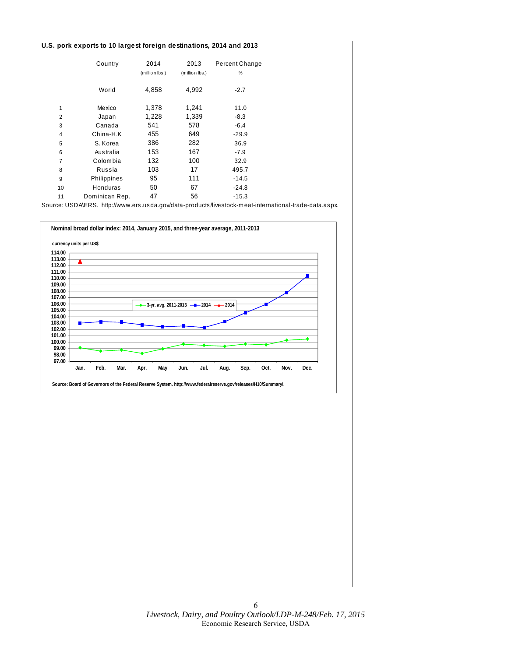#### **U.S. pork exports to 10 largest foreign destinations, 2014 and 2013**

|                | Country        | 2014<br>(million lbs.) | 2013<br>(million lbs.) | Percent Change<br>% |
|----------------|----------------|------------------------|------------------------|---------------------|
|                | World          | 4,858                  | 4,992                  | $-2.7$              |
| 1              | Mexico         | 1,378                  | 1,241                  | 11.0                |
| 2              | Japan          | 1,228                  | 1,339                  | $-8.3$              |
| 3              | Canada         | 541                    | 578                    | $-6.4$              |
| 4              | China-H.K      | 455                    | 649                    | $-29.9$             |
| 5              | S. Korea       | 386                    | 282                    | 36.9                |
| 6              | Australia      | 153                    | 167                    | $-7.9$              |
| $\overline{7}$ | Colombia       | 132                    | 100                    | 32.9                |
| 8              | Russia         | 103                    | 17                     | 495.7               |
| 9              | Philippines    | 95                     | 111                    | $-14.5$             |
| 10             | Honduras       | 50                     | 67                     | $-24.8$             |
| 11             | Dominican Rep. | 47                     | 56                     | $-15.3$             |

Source: USDA\ERS. http://www.ers.usda.gov/data-products/livestock-m eat-international-trade-data.aspx.

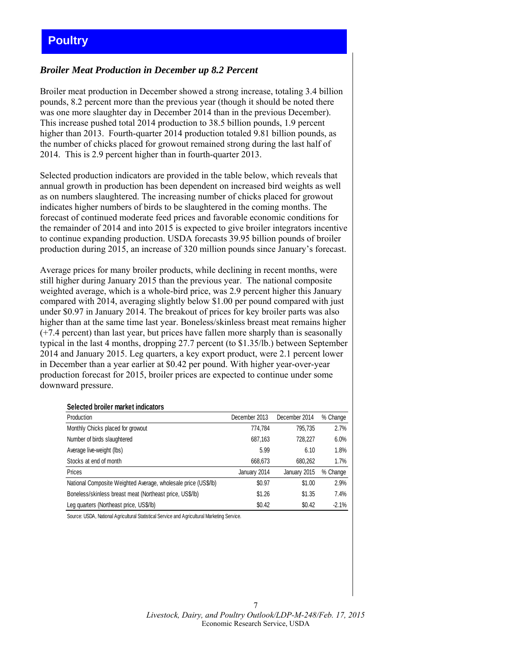# <span id="page-6-0"></span>**Poultry**

#### *Broiler Meat Production in December up 8.2 Percent*

Broiler meat production in December showed a strong increase, totaling 3.4 billion pounds, 8.2 percent more than the previous year (though it should be noted there was one more slaughter day in December 2014 than in the previous December). This increase pushed total 2014 production to 38.5 billion pounds, 1.9 percent higher than 2013. Fourth-quarter 2014 production totaled 9.81 billion pounds, as the number of chicks placed for growout remained strong during the last half of 2014. This is 2.9 percent higher than in fourth-quarter 2013.

Selected production indicators are provided in the table below, which reveals that annual growth in production has been dependent on increased bird weights as well as on numbers slaughtered. The increasing number of chicks placed for growout indicates higher numbers of birds to be slaughtered in the coming months. The forecast of continued moderate feed prices and favorable economic conditions for the remainder of 2014 and into 2015 is expected to give broiler integrators incentive to continue expanding production. USDA forecasts 39.95 billion pounds of broiler production during 2015, an increase of 320 million pounds since January's forecast.

Average prices for many broiler products, while declining in recent months, were still higher during January 2015 than the previous year. The national composite weighted average, which is a whole-bird price, was 2.9 percent higher this January compared with 2014, averaging slightly below \$1.00 per pound compared with just under \$0.97 in January 2014. The breakout of prices for key broiler parts was also higher than at the same time last year. Boneless/skinless breast meat remains higher (+7.4 percent) than last year, but prices have fallen more sharply than is seasonally typical in the last 4 months, dropping 27.7 percent (to \$1.35/lb.) between September 2014 and January 2015. Leg quarters, a key export product, were 2.1 percent lower in December than a year earlier at \$0.42 per pound. With higher year-over-year production forecast for 2015, broiler prices are expected to continue under some downward pressure.

| Selected broiler market indicators                             |               |               |          |
|----------------------------------------------------------------|---------------|---------------|----------|
| Production                                                     | December 2013 | December 2014 | % Change |
| Monthly Chicks placed for growout                              | 774,784       | 795,735       | 2.7%     |
| Number of birds slaughtered                                    | 687,163       | 728.227       | 6.0%     |
| Average live-weight (lbs)                                      | 5.99          | 6.10          | 1.8%     |
| Stocks at end of month                                         | 668,673       | 680,262       | 1.7%     |
| Prices                                                         | January 2014  | January 2015  | % Change |
| National Composite Weighted Average, wholesale price (US\$/lb) | \$0.97        | \$1.00        | 2.9%     |
| Boneless/skinless breast meat (Northeast price, US\$/lb)       | \$1.26        | \$1.35        | 7.4%     |
| Leg quarters (Northeast price, US\$/lb)                        | \$0.42        | \$0.42        | $-2.1%$  |

Source: USDA, National Agricultural Statistical Service and Agricultural Marketing Service.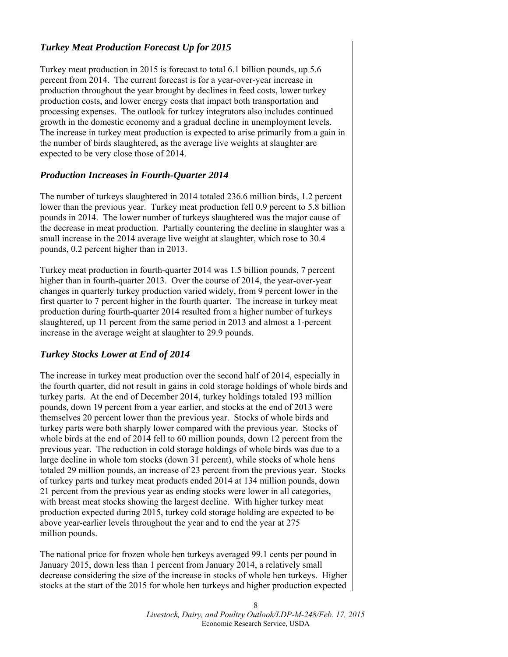# *Turkey Meat Production Forecast Up for 2015*

Turkey meat production in 2015 is forecast to total 6.1 billion pounds, up 5.6 percent from 2014. The current forecast is for a year-over-year increase in production throughout the year brought by declines in feed costs, lower turkey production costs, and lower energy costs that impact both transportation and processing expenses. The outlook for turkey integrators also includes continued growth in the domestic economy and a gradual decline in unemployment levels. The increase in turkey meat production is expected to arise primarily from a gain in the number of birds slaughtered, as the average live weights at slaughter are expected to be very close those of 2014.

## *Production Increases in Fourth-Quarter 2014*

The number of turkeys slaughtered in 2014 totaled 236.6 million birds, 1.2 percent lower than the previous year. Turkey meat production fell 0.9 percent to 5.8 billion pounds in 2014. The lower number of turkeys slaughtered was the major cause of the decrease in meat production. Partially countering the decline in slaughter was a small increase in the 2014 average live weight at slaughter, which rose to 30.4 pounds, 0.2 percent higher than in 2013.

Turkey meat production in fourth-quarter 2014 was 1.5 billion pounds, 7 percent higher than in fourth-quarter 2013. Over the course of 2014, the year-over-year changes in quarterly turkey production varied widely, from 9 percent lower in the first quarter to 7 percent higher in the fourth quarter. The increase in turkey meat production during fourth-quarter 2014 resulted from a higher number of turkeys slaughtered, up 11 percent from the same period in 2013 and almost a 1-percent increase in the average weight at slaughter to 29.9 pounds.

# *Turkey Stocks Lower at End of 2014*

The increase in turkey meat production over the second half of 2014, especially in the fourth quarter, did not result in gains in cold storage holdings of whole birds and turkey parts. At the end of December 2014, turkey holdings totaled 193 million pounds, down 19 percent from a year earlier, and stocks at the end of 2013 were themselves 20 percent lower than the previous year. Stocks of whole birds and turkey parts were both sharply lower compared with the previous year. Stocks of whole birds at the end of 2014 fell to 60 million pounds, down 12 percent from the previous year. The reduction in cold storage holdings of whole birds was due to a large decline in whole tom stocks (down 31 percent), while stocks of whole hens totaled 29 million pounds, an increase of 23 percent from the previous year. Stocks of turkey parts and turkey meat products ended 2014 at 134 million pounds, down 21 percent from the previous year as ending stocks were lower in all categories, with breast meat stocks showing the largest decline. With higher turkey meat production expected during 2015, turkey cold storage holding are expected to be above year-earlier levels throughout the year and to end the year at 275 million pounds.

The national price for frozen whole hen turkeys averaged 99.1 cents per pound in January 2015, down less than 1 percent from January 2014, a relatively small decrease considering the size of the increase in stocks of whole hen turkeys. Higher stocks at the start of the 2015 for whole hen turkeys and higher production expected

> 8 *Livestock, Dairy, and Poultry Outlook/LDP-M-248/Feb. 17, 2015*  Economic Research Service, USDA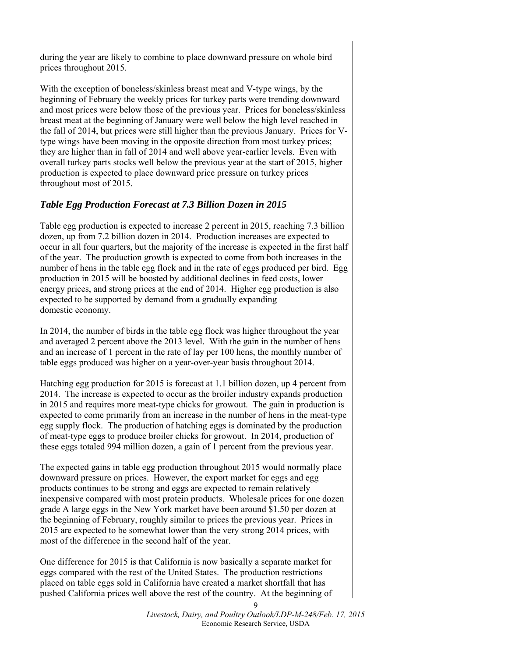during the year are likely to combine to place downward pressure on whole bird prices throughout 2015.

With the exception of boneless/skinless breast meat and V-type wings, by the beginning of February the weekly prices for turkey parts were trending downward and most prices were below those of the previous year. Prices for boneless/skinless breast meat at the beginning of January were well below the high level reached in the fall of 2014, but prices were still higher than the previous January. Prices for Vtype wings have been moving in the opposite direction from most turkey prices; they are higher than in fall of 2014 and well above year-earlier levels. Even with overall turkey parts stocks well below the previous year at the start of 2015, higher production is expected to place downward price pressure on turkey prices throughout most of 2015.

#### *Table Egg Production Forecast at 7.3 Billion Dozen in 2015*

Table egg production is expected to increase 2 percent in 2015, reaching 7.3 billion dozen, up from 7.2 billion dozen in 2014. Production increases are expected to occur in all four quarters, but the majority of the increase is expected in the first half of the year. The production growth is expected to come from both increases in the number of hens in the table egg flock and in the rate of eggs produced per bird. Egg production in 2015 will be boosted by additional declines in feed costs, lower energy prices, and strong prices at the end of 2014. Higher egg production is also expected to be supported by demand from a gradually expanding domestic economy.

In 2014, the number of birds in the table egg flock was higher throughout the year and averaged 2 percent above the 2013 level. With the gain in the number of hens and an increase of 1 percent in the rate of lay per 100 hens, the monthly number of table eggs produced was higher on a year-over-year basis throughout 2014.

Hatching egg production for 2015 is forecast at 1.1 billion dozen, up 4 percent from 2014. The increase is expected to occur as the broiler industry expands production in 2015 and requires more meat-type chicks for growout. The gain in production is expected to come primarily from an increase in the number of hens in the meat-type egg supply flock. The production of hatching eggs is dominated by the production of meat-type eggs to produce broiler chicks for growout. In 2014, production of these eggs totaled 994 million dozen, a gain of 1 percent from the previous year.

The expected gains in table egg production throughout 2015 would normally place downward pressure on prices. However, the export market for eggs and egg products continues to be strong and eggs are expected to remain relatively inexpensive compared with most protein products. Wholesale prices for one dozen grade A large eggs in the New York market have been around \$1.50 per dozen at the beginning of February, roughly similar to prices the previous year. Prices in 2015 are expected to be somewhat lower than the very strong 2014 prices, with most of the difference in the second half of the year.

One difference for 2015 is that California is now basically a separate market for eggs compared with the rest of the United States. The production restrictions placed on table eggs sold in California have created a market shortfall that has pushed California prices well above the rest of the country. At the beginning of

> 9 *Livestock, Dairy, and Poultry Outlook/LDP-M-248/Feb. 17, 2015*  Economic Research Service, USDA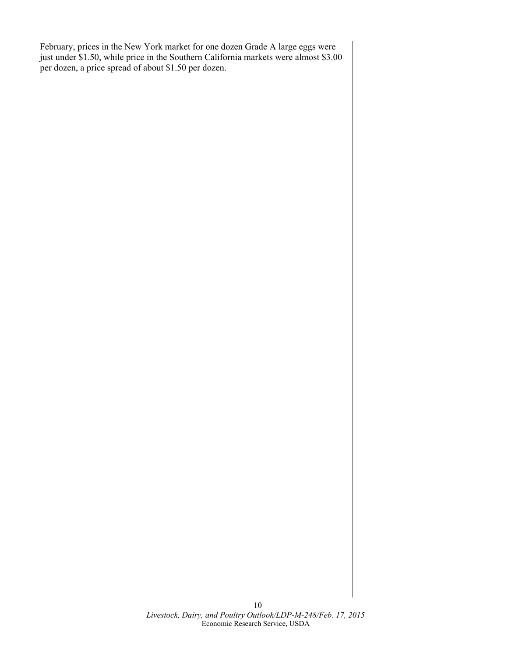February, prices in the New York market for one dozen Grade A large eggs were just under \$1.50, while price in the Southern California markets were almost \$3.00 per dozen, a price spread of about \$1.50 per dozen.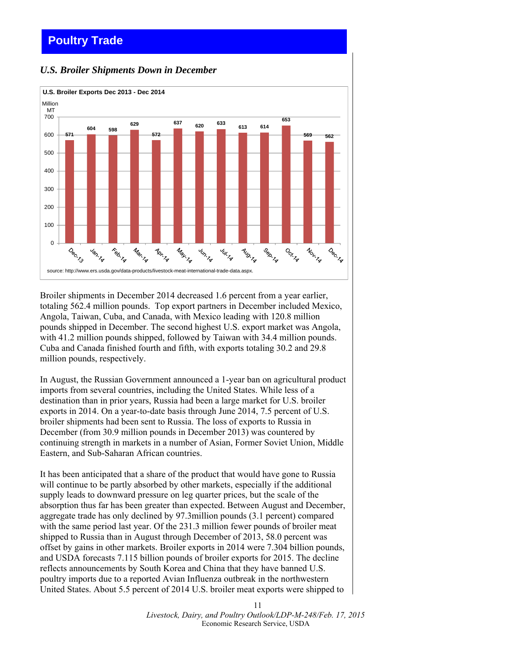# <span id="page-10-0"></span>**Poultry Trade**

#### *U.S. Broiler Shipments Down in December*



Broiler shipments in December 2014 decreased 1.6 percent from a year earlier, totaling 562.4 million pounds. Top export partners in December included Mexico, Angola, Taiwan, Cuba, and Canada, with Mexico leading with 120.8 million pounds shipped in December. The second highest U.S. export market was Angola, with 41.2 million pounds shipped, followed by Taiwan with 34.4 million pounds. Cuba and Canada finished fourth and fifth, with exports totaling 30.2 and 29.8 million pounds, respectively.

In August, the Russian Government announced a 1-year ban on agricultural product imports from several countries, including the United States. While less of a destination than in prior years, Russia had been a large market for U.S. broiler exports in 2014. On a year-to-date basis through June 2014, 7.5 percent of U.S. broiler shipments had been sent to Russia. The loss of exports to Russia in December (from 30.9 million pounds in December 2013) was countered by continuing strength in markets in a number of Asian, Former Soviet Union, Middle Eastern, and Sub-Saharan African countries.

It has been anticipated that a share of the product that would have gone to Russia will continue to be partly absorbed by other markets, especially if the additional supply leads to downward pressure on leg quarter prices, but the scale of the absorption thus far has been greater than expected. Between August and December, aggregate trade has only declined by 97.3million pounds (3.1 percent) compared with the same period last year. Of the 231.3 million fewer pounds of broiler meat shipped to Russia than in August through December of 2013, 58.0 percent was offset by gains in other markets. Broiler exports in 2014 were 7.304 billion pounds, and USDA forecasts 7.115 billion pounds of broiler exports for 2015. The decline reflects announcements by South Korea and China that they have banned U.S. poultry imports due to a reported Avian Influenza outbreak in the northwestern United States. About 5.5 percent of 2014 U.S. broiler meat exports were shipped to

> *Livestock, Dairy, and Poultry Outlook/LDP-M-248/Feb. 17, 2015*  Economic Research Service, USDA

11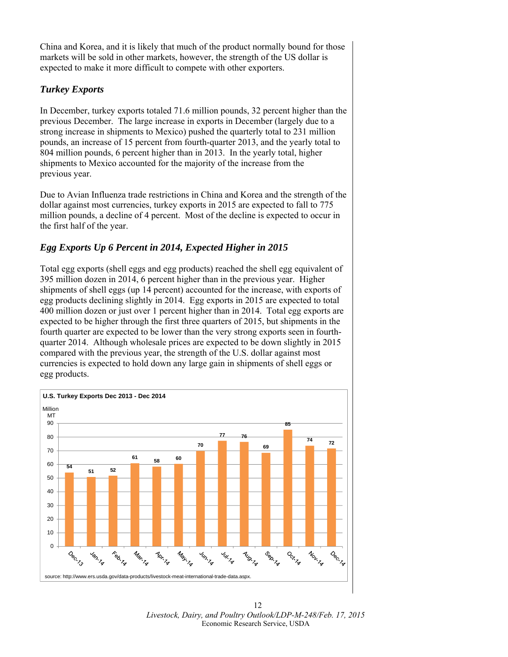China and Korea, and it is likely that much of the product normally bound for those markets will be sold in other markets, however, the strength of the US dollar is expected to make it more difficult to compete with other exporters.

# *Turkey Exports*

In December, turkey exports totaled 71.6 million pounds, 32 percent higher than the previous December. The large increase in exports in December (largely due to a strong increase in shipments to Mexico) pushed the quarterly total to 231 million pounds, an increase of 15 percent from fourth-quarter 2013, and the yearly total to 804 million pounds, 6 percent higher than in 2013. In the yearly total, higher shipments to Mexico accounted for the majority of the increase from the previous year.

Due to Avian Influenza trade restrictions in China and Korea and the strength of the dollar against most currencies, turkey exports in 2015 are expected to fall to 775 million pounds, a decline of 4 percent. Most of the decline is expected to occur in the first half of the year.

# *Egg Exports Up 6 Percent in 2014, Expected Higher in 2015*

Total egg exports (shell eggs and egg products) reached the shell egg equivalent of 395 million dozen in 2014, 6 percent higher than in the previous year. Higher shipments of shell eggs (up 14 percent) accounted for the increase, with exports of egg products declining slightly in 2014. Egg exports in 2015 are expected to total 400 million dozen or just over 1 percent higher than in 2014. Total egg exports are expected to be higher through the first three quarters of 2015, but shipments in the fourth quarter are expected to be lower than the very strong exports seen in fourthquarter 2014. Although wholesale prices are expected to be down slightly in 2015 compared with the previous year, the strength of the U.S. dollar against most currencies is expected to hold down any large gain in shipments of shell eggs or egg products.



12 *Livestock, Dairy, and Poultry Outlook/LDP-M-248/Feb. 17, 2015*  Economic Research Service, USDA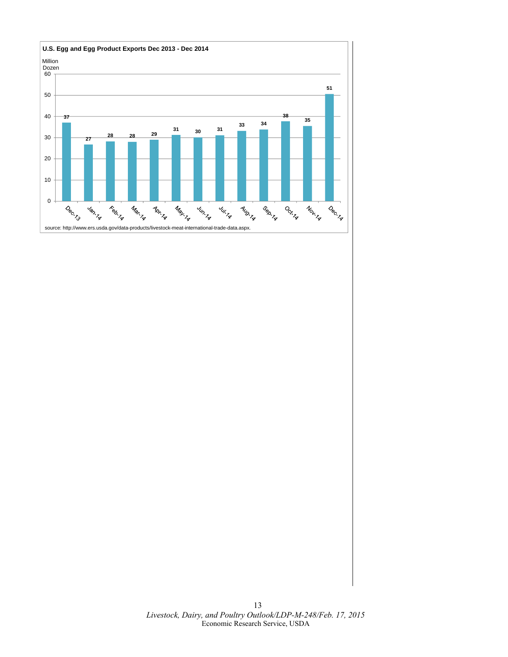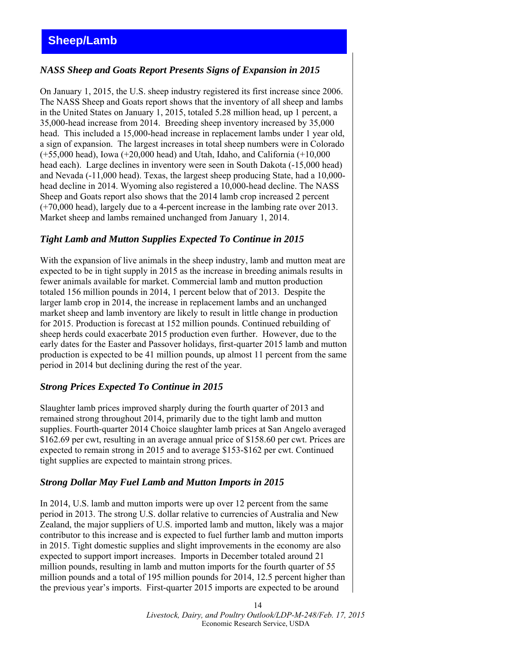# <span id="page-13-0"></span>*NASS Sheep and Goats Report Presents Signs of Expansion in 2015*

On January 1, 2015, the U.S. sheep industry registered its first increase since 2006. The NASS Sheep and Goats report shows that the inventory of all sheep and lambs in the United States on January 1, 2015, totaled 5.28 million head, up 1 percent, a 35,000-head increase from 2014. Breeding sheep inventory increased by 35,000 head. This included a 15,000-head increase in replacement lambs under 1 year old, a sign of expansion. The largest increases in total sheep numbers were in Colorado  $(+55,000 \text{ head})$ , Iowa  $(+20,000 \text{ head})$  and Utah, Idaho, and California  $(+10,000 \text{ feet})$ head each). Large declines in inventory were seen in South Dakota (-15,000 head) and Nevada (-11,000 head). Texas, the largest sheep producing State, had a 10,000 head decline in 2014. Wyoming also registered a 10,000-head decline. The NASS Sheep and Goats report also shows that the 2014 lamb crop increased 2 percent (+70,000 head), largely due to a 4-percent increase in the lambing rate over 2013. Market sheep and lambs remained unchanged from January 1, 2014.

#### *Tight Lamb and Mutton Supplies Expected To Continue in 2015*

With the expansion of live animals in the sheep industry, lamb and mutton meat are expected to be in tight supply in 2015 as the increase in breeding animals results in fewer animals available for market. Commercial lamb and mutton production totaled 156 million pounds in 2014, 1 percent below that of 2013. Despite the larger lamb crop in 2014, the increase in replacement lambs and an unchanged market sheep and lamb inventory are likely to result in little change in production for 2015. Production is forecast at 152 million pounds. Continued rebuilding of sheep herds could exacerbate 2015 production even further. However, due to the early dates for the Easter and Passover holidays, first-quarter 2015 lamb and mutton production is expected to be 41 million pounds, up almost 11 percent from the same period in 2014 but declining during the rest of the year.

#### *Strong Prices Expected To Continue in 2015*

Slaughter lamb prices improved sharply during the fourth quarter of 2013 and remained strong throughout 2014, primarily due to the tight lamb and mutton supplies. Fourth-quarter 2014 Choice slaughter lamb prices at San Angelo averaged \$162.69 per cwt, resulting in an average annual price of \$158.60 per cwt. Prices are expected to remain strong in 2015 and to average \$153-\$162 per cwt. Continued tight supplies are expected to maintain strong prices.

#### *Strong Dollar May Fuel Lamb and Mutton Imports in 2015*

In 2014, U.S. lamb and mutton imports were up over 12 percent from the same period in 2013. The strong U.S. dollar relative to currencies of Australia and New Zealand, the major suppliers of U.S. imported lamb and mutton, likely was a major contributor to this increase and is expected to fuel further lamb and mutton imports in 2015. Tight domestic supplies and slight improvements in the economy are also expected to support import increases. Imports in December totaled around 21 million pounds, resulting in lamb and mutton imports for the fourth quarter of 55 million pounds and a total of 195 million pounds for 2014, 12.5 percent higher than the previous year's imports. First-quarter 2015 imports are expected to be around

> 14 *Livestock, Dairy, and Poultry Outlook/LDP-M-248/Feb. 17, 2015*  Economic Research Service, USDA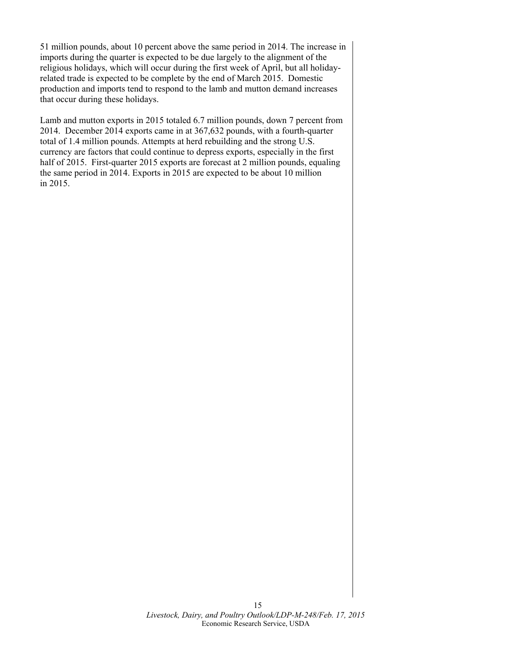51 million pounds, about 10 percent above the same period in 2014. The increase in imports during the quarter is expected to be due largely to the alignment of the religious holidays, which will occur during the first week of April, but all holidayrelated trade is expected to be complete by the end of March 2015. Domestic production and imports tend to respond to the lamb and mutton demand increases that occur during these holidays.

Lamb and mutton exports in 2015 totaled 6.7 million pounds, down 7 percent from 2014. December 2014 exports came in at 367,632 pounds, with a fourth-quarter total of 1.4 million pounds. Attempts at herd rebuilding and the strong U.S. currency are factors that could continue to depress exports, especially in the first half of 2015. First-quarter 2015 exports are forecast at 2 million pounds, equaling the same period in 2014. Exports in 2015 are expected to be about 10 million in 2015.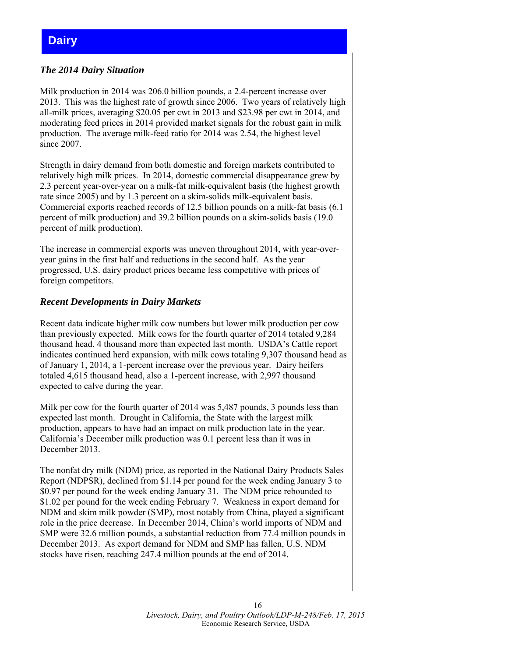# <span id="page-15-0"></span>**Dairy**

# *The 2014 Dairy Situation*

Milk production in 2014 was 206.0 billion pounds, a 2.4-percent increase over 2013. This was the highest rate of growth since 2006. Two years of relatively high all-milk prices, averaging \$20.05 per cwt in 2013 and \$23.98 per cwt in 2014, and moderating feed prices in 2014 provided market signals for the robust gain in milk production. The average milk-feed ratio for 2014 was 2.54, the highest level since 2007.

Strength in dairy demand from both domestic and foreign markets contributed to relatively high milk prices. In 2014, domestic commercial disappearance grew by 2.3 percent year-over-year on a milk-fat milk-equivalent basis (the highest growth rate since 2005) and by 1.3 percent on a skim-solids milk-equivalent basis. Commercial exports reached records of 12.5 billion pounds on a milk-fat basis (6.1 percent of milk production) and 39.2 billion pounds on a skim-solids basis (19.0 percent of milk production).

The increase in commercial exports was uneven throughout 2014, with year-overyear gains in the first half and reductions in the second half. As the year progressed, U.S. dairy product prices became less competitive with prices of foreign competitors.

## *Recent Developments in Dairy Markets*

Recent data indicate higher milk cow numbers but lower milk production per cow than previously expected. Milk cows for the fourth quarter of 2014 totaled 9,284 thousand head, 4 thousand more than expected last month. USDA's Cattle report indicates continued herd expansion, with milk cows totaling 9,307 thousand head as of January 1, 2014, a 1-percent increase over the previous year. Dairy heifers totaled 4,615 thousand head, also a 1-percent increase, with 2,997 thousand expected to calve during the year.

Milk per cow for the fourth quarter of 2014 was 5,487 pounds, 3 pounds less than expected last month. Drought in California, the State with the largest milk production, appears to have had an impact on milk production late in the year. California's December milk production was 0.1 percent less than it was in December 2013.

The nonfat dry milk (NDM) price, as reported in the National Dairy Products Sales Report (NDPSR), declined from \$1.14 per pound for the week ending January 3 to \$0.97 per pound for the week ending January 31. The NDM price rebounded to \$1.02 per pound for the week ending February 7. Weakness in export demand for NDM and skim milk powder (SMP), most notably from China, played a significant role in the price decrease. In December 2014, China's world imports of NDM and SMP were 32.6 million pounds, a substantial reduction from 77.4 million pounds in December 2013. As export demand for NDM and SMP has fallen, U.S. NDM stocks have risen, reaching 247.4 million pounds at the end of 2014.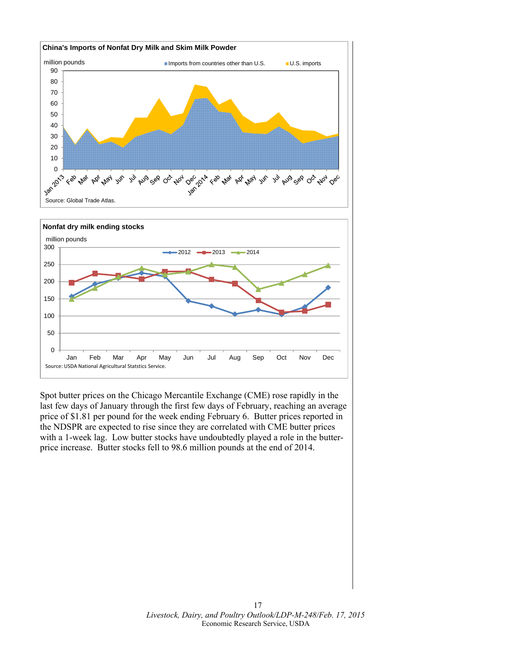



Spot butter prices on the Chicago Mercantile Exchange (CME) rose rapidly in the last few days of January through the first few days of February, reaching an average price of \$1.81 per pound for the week ending February 6. Butter prices reported in the NDSPR are expected to rise since they are correlated with CME butter prices with a 1-week lag. Low butter stocks have undoubtedly played a role in the butterprice increase. Butter stocks fell to 98.6 million pounds at the end of 2014.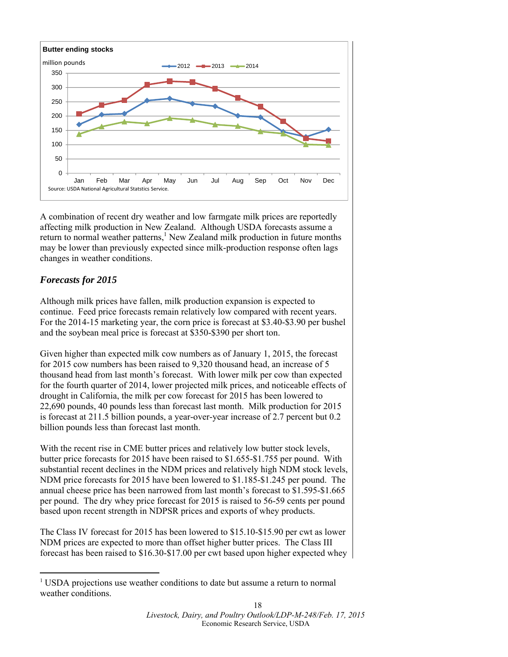

A combination of recent dry weather and low farmgate milk prices are reportedly affecting milk production in New Zealand. Although USDA forecasts assume a return to normal weather patterns,<sup>1</sup> New Zealand milk production in future months may be lower than previously expected since milk-production response often lags changes in weather conditions.

# *Forecasts for 2015*

<u>.</u>

Although milk prices have fallen, milk production expansion is expected to continue. Feed price forecasts remain relatively low compared with recent years. For the 2014-15 marketing year, the corn price is forecast at \$3.40-\$3.90 per bushel and the soybean meal price is forecast at \$350-\$390 per short ton.

Given higher than expected milk cow numbers as of January 1, 2015, the forecast for 2015 cow numbers has been raised to 9,320 thousand head, an increase of 5 thousand head from last month's forecast. With lower milk per cow than expected for the fourth quarter of 2014, lower projected milk prices, and noticeable effects of drought in California, the milk per cow forecast for 2015 has been lowered to 22,690 pounds, 40 pounds less than forecast last month. Milk production for 2015 is forecast at 211.5 billion pounds, a year-over-year increase of 2.7 percent but 0.2 billion pounds less than forecast last month.

With the recent rise in CME butter prices and relatively low butter stock levels, butter price forecasts for 2015 have been raised to \$1.655-\$1.755 per pound. With substantial recent declines in the NDM prices and relatively high NDM stock levels, NDM price forecasts for 2015 have been lowered to \$1.185-\$1.245 per pound. The annual cheese price has been narrowed from last month's forecast to \$1.595-\$1.665 per pound. The dry whey price forecast for 2015 is raised to 56-59 cents per pound based upon recent strength in NDPSR prices and exports of whey products.

The Class IV forecast for 2015 has been lowered to \$15.10-\$15.90 per cwt as lower NDM prices are expected to more than offset higher butter prices. The Class III forecast has been raised to \$16.30-\$17.00 per cwt based upon higher expected whey

<sup>&</sup>lt;sup>1</sup> USDA projections use weather conditions to date but assume a return to normal weather conditions.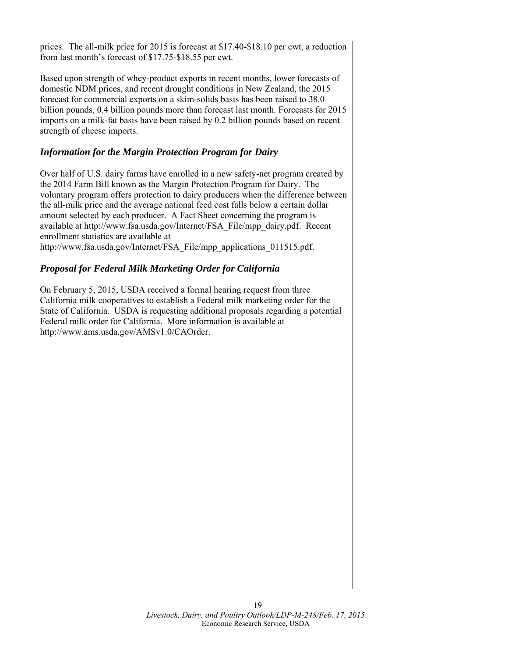prices. The all-milk price for 2015 is forecast at \$17.40-\$18.10 per cwt, a reduction from last month's forecast of \$17.75-\$18.55 per cwt.

Based upon strength of whey-product exports in recent months, lower forecasts of domestic NDM prices, and recent drought conditions in New Zealand, the 2015 forecast for commercial exports on a skim-solids basis has been raised to 38.0 billion pounds, 0.4 billion pounds more than forecast last month. Forecasts for 2015 imports on a milk-fat basis have been raised by 0.2 billion pounds based on recent strength of cheese imports.

# *Information for the Margin Protection Program for Dairy*

Over half of U.S. dairy farms have enrolled in a new safety-net program created by the 2014 Farm Bill known as the Margin Protection Program for Dairy. The voluntary program offers protection to dairy producers when the difference between the all-milk price and the average national feed cost falls below a certain dollar amount selected by each producer. A Fact Sheet concerning the program is available at http://www.fsa.usda.gov/Internet/FSA\_File/mpp\_dairy.pdf. Recent enrollment statistics are available at

http://www.fsa.usda.gov/Internet/FSA\_File/mpp\_applications\_011515.pdf.

# *Proposal for Federal Milk Marketing Order for California*

On February 5, 2015, USDA received a formal hearing request from three California milk cooperatives to establish a Federal milk marketing order for the State of California. USDA is requesting additional proposals regarding a potential Federal milk order for California. More information is available at http://www.ams.usda.gov/AMSv1.0/CAOrder.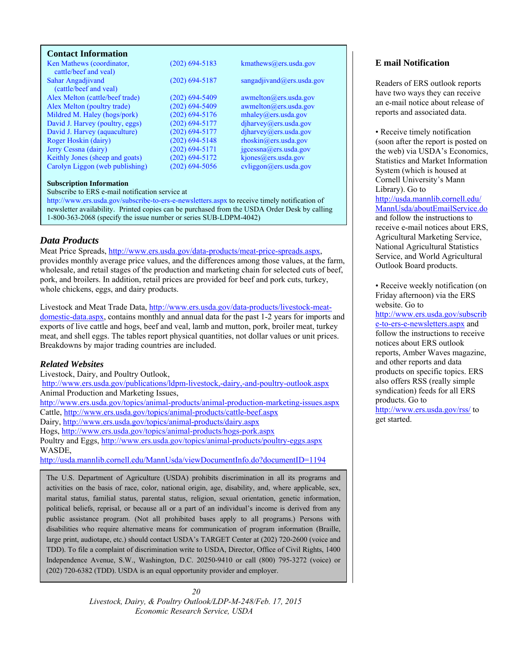#### <span id="page-19-0"></span>**Contact Information**

| Ken Mathews (coordinator,<br>cattle/beef and yeal) | $(202)$ 694-5183   | kmathews@ers.usda.gov                |
|----------------------------------------------------|--------------------|--------------------------------------|
| Sahar Angadjivand                                  | $(202)$ 694-5187   | sangadjivand@ers.usda.gov            |
| (cattle/beef and yeal)                             |                    |                                      |
| Alex Melton (cattle/beef trade)                    | $(202)$ 694-5409   | $a$ wmelton $(a)$ ers.usda.gov       |
| Alex Melton (poultry trade)                        | $(202) 694 - 5409$ | awmelton@ers.usda.gov                |
| Mildred M. Haley (hogs/pork)                       | $(202)$ 694-5176   | mhalev@ers.usda.gov                  |
| David J. Harvey (poultry, eggs)                    | $(202)$ 694-5177   | diharvey@ers.usda.gov                |
| David J. Harvey (aquaculture)                      | $(202)$ 694-5177   | diharvey@ers.usda.gov                |
| Roger Hoskin (dairy)                               | $(202)$ 694-5148   | $r \text{hosh}(\omega)$ ers.usda.gov |
| Jerry Cessna (dairy)                               | $(202)$ 694-5171   | $j$ gcessna $(a)$ ers.usda.gov       |
| Keithly Jones (sheep and goats)                    | $(202)$ 694-5172   | kjones@ers.usda.gov                  |
| Carolyn Liggon (web publishing)                    | $(202)$ 694-5056   | cvliggon@ers.usda.gov                |

#### **Subscription Information**

Subscribe to ERS e-mail notification service at

http://www.ers.usda.gov/subscribe-to-ers-e-newsletters.aspx to receive timely notification of newsletter availability. Printed copies can be purchased from the USDA Order Desk by calling 1-800-363-2068 (specify the issue number or series SUB-LDPM-4042)

#### *Data Products*

Meat Price Spreads, http://www.ers.usda.gov/data-products/meat-price-spreads.aspx, provides monthly average price values, and the differences among those values, at the farm, wholesale, and retail stages of the production and marketing chain for selected cuts of beef, pork, and broilers. In addition, retail prices are provided for beef and pork cuts, turkey, whole chickens, eggs, and dairy products.

Livestock and Meat Trade Data, http://www.ers.usda.gov/data-products/livestock-meatdomestic-data.aspx, contains monthly and annual data for the past 1-2 years for imports and exports of live cattle and hogs, beef and veal, lamb and mutton, pork, broiler meat, turkey meat, and shell eggs. The tables report physical quantities, not dollar values or unit prices. Breakdowns by major trading countries are included.

#### *Related Websites*

Livestock, Dairy, and Poultry Outlook, http://www.ers.usda.gov/publications/ldpm-livestock,-dairy,-and-poultry-outlook.aspx Animal Production and Marketing Issues, http://www.ers.usda.gov/topics/animal-products/animal-production-marketing-issues.aspx Cattle, http://www.ers.usda.gov/topics/animal-products/cattle-beef.aspx Dairy, http://www.ers.usda.gov/topics/animal-products/dairy.aspx Hogs, http://www.ers.usda.gov/topics/animal-products/hogs-pork.aspx Poultry and Eggs, http://www.ers.usda.gov/topics/animal-products/poultry-eggs.aspx WASDE, http://usda.mannlib.cornell.edu/MannUsda/viewDocumentInfo.do?documentID=1194

The U.S. Department of Agriculture (USDA) prohibits discrimination in all its programs and activities on the basis of race, color, national origin, age, disability, and, where applicable, sex, marital status, familial status, parental status, religion, sexual orientation, genetic information, political beliefs, reprisal, or because all or a part of an individual's income is derived from any public assistance program. (Not all prohibited bases apply to all programs.) Persons with disabilities who require alternative means for communication of program information (Braille, large print, audiotape, etc.) should contact USDA's TARGET Center at (202) 720-2600 (voice and TDD). To file a complaint of discrimination write to USDA, Director, Office of Civil Rights, 1400 Independence Avenue, S.W., Washington, D.C. 20250-9410 or call (800) 795-3272 (voice) or (202) 720-6382 (TDD). USDA is an equal opportunity provider and employer.

> *20 Livestock, Dairy, & Poultry Outlook/LDP-M-248/Feb. 17, 2015 Economic Research Service, USDA*

#### **E mail Notification**

Readers of ERS outlook reports have two ways they can receive an e-mail notice about release of reports and associated data.

• Receive timely notification (soon after the report is posted on the web) via USDA's Economics, Statistics and Market Information System (which is housed at Cornell University's Mann Library). Go to http://usda.mannlib.cornell.edu/ MannUsda/aboutEmailService.do and follow the instructions to receive e-mail notices about ERS, Agricultural Marketing Service, National Agricultural Statistics Service, and World Agricultural Outlook Board products.

• Receive weekly notification (on Friday afternoon) via the ERS website. Go to

http://www.ers.usda.gov/subscrib e-to-ers-e-newsletters.aspx and follow the instructions to receive notices about ERS outlook reports, Amber Waves magazine, and other reports and data products on specific topics. ERS also offers RSS (really simple syndication) feeds for all ERS products. Go to http://www.ers.usda.gov/rss/ to

get started.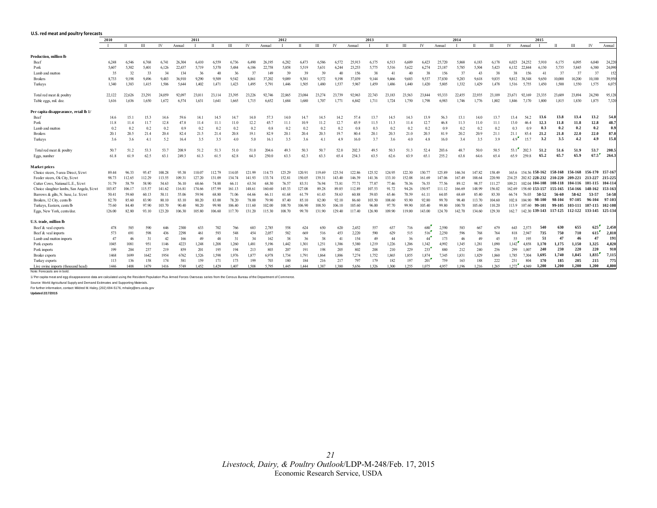<span id="page-20-0"></span>

| 2011<br>2013<br>2012<br>2014<br>2015<br>2010<br>IV<br>$\mathbf{H}$<br>IV<br>III<br>Annual<br>Ш<br>IV<br>Ш<br>$\mathbf{H}$<br>IV<br>Annual<br>Ш<br>IV<br>Annual<br>Ш<br>IV<br>Ш<br>Annual<br>Ш<br>Annual<br>$\mathbf{H}$<br>Annual<br>$\mathbf{H}$<br>П<br>Production, million lb<br>6.572<br>24.252<br>24,220<br>6.248<br>6.546<br>26.304<br>6.559<br>26.195<br>6.282<br>6.586<br>25.913<br>6.175<br>6.513<br>6.609<br>6.423<br>25.720<br>5.868<br>6.183<br>6.178<br>5.910<br>6.175<br>6.095<br>6.040<br>Beef<br>6.768<br>6.741<br>6.410<br>6.736<br>6.490<br>6.473<br>6.023<br>24,090<br>5,302<br>6,126<br>22,437<br>5.719<br>5,370<br>6.186<br>22.758<br>5.858<br>5.519<br>5,631<br>6,244<br>23,253<br>5,775<br>5.516<br>5,622<br>6,274<br>23.187<br>5,785<br>5.504<br>5.423<br>6.132<br>22.844<br>6.130<br>5.735<br>5.845<br>6.380<br>5,607<br>5.40<br>5,484<br>Pork<br>152<br>35<br>32<br>134<br>37<br>38<br>37<br>37<br>37<br>33<br>34<br>36<br>40<br>36<br>149<br>39<br>39<br>39<br>40<br>156<br>38<br>40<br>38<br>156<br>37<br>43<br>38<br>156<br>41<br>Lamb and mutton<br>$\overline{4}$<br>8,733<br>9.542<br>37,202<br>37,039<br>9.537<br>9.835<br>9.812<br>38.548<br>10,200<br>39,950<br>9,198<br>9.483<br>36.910<br>9,290<br>9,509<br>8.861<br>9.089<br>9,381<br>9,372<br>9,198<br>9.466<br>9.683<br>37.830<br>9,283<br>9,618<br>9.650<br>10.000<br>10.100<br><b>Broilers</b><br>9,496<br>9,144<br>6.075<br>1,340<br>1,383<br>1.506<br>1,402<br>1,471<br>1,423<br>1.495<br>5,791<br>1,446<br>1,505<br>1.480<br>1,537<br>5,967<br>1,459<br>1.440<br>1,420<br>1,332<br>1,429<br>1,478<br>5,755<br>1.500<br>1,550<br>1,575<br>1,415<br>5,644<br>1,486<br>5.805<br>1.516<br>1,450<br>Turkeys<br>Total red meat & poultry<br>95,128<br>22,122<br>22,626<br>23,291<br>92,097<br>23.114<br>23,395<br>23,226<br>92,746<br>22,865<br>23,084<br>23.274<br>23,739<br>22,743<br>23,183<br>23.563<br>23.844<br>93.333<br>22,455<br>22,935<br>23.109<br>23.671<br>92,169<br>23.335<br>23.609<br>23.894<br>24.290<br>24.059<br>23.011<br>92.963<br>1,750<br>1,875<br>7,320<br>1,616<br>1,636<br>1,650<br>1.672<br>6,574<br>1,631<br>1.665<br>1,715<br>6,652<br>1,684<br>1.680<br>1.707<br>1.771<br>6.842<br>1,711<br>1,724<br>1,798<br>6,983<br>1,746<br>1.776<br>1.802<br>1.846<br>7.170<br>1.800<br>1.815<br>1,830<br>Table eggs, mil. doz.<br>1,641<br>Per capita disappearance, retail lb 1/<br>13.8<br>13.4<br>13.2<br>54.0<br>57.3<br>13.6<br>14.6<br>15.1<br>15.3<br>59.6<br>14.2<br>57.4<br>14.3<br>13.9<br>13.7<br>Beef<br>14.6<br>14.1<br>14.7<br>14.0<br>14.7<br>14.5<br>13.7<br>14.5<br>56.3<br>13.1<br>14.0<br>13.4<br>54.2<br>14.5<br>14.0<br>12.8<br>45.7<br>12.7<br>45.9<br>12.7<br>11.8<br>12.8<br>48.7<br>11.8<br>11.7<br>47.8<br>11.4<br>11.0<br>12.2<br>10.9<br>11.2<br>11.3<br>11.4<br>46.8<br>11.3<br>11.0<br>13.0<br>12.3<br>11.8<br>Pork<br>11.4<br>11.1<br>11.1<br>11.5<br>11.1<br>46.4<br>0.2<br>0.2<br>0.9<br>0.2<br>0.2<br>0.2<br>0.2<br>0.2<br>0.2<br>0.2<br>0.2<br>0.2<br>0.2<br>0.2<br>0.2<br>0.9<br>0.2<br>0.8<br>0.2<br>0.2<br>0.8<br>0.3<br>0.2<br>0.2<br>0.2<br>0.9<br>0.2<br>0.3<br>0.9<br>0.3<br>Lamb and mutton<br>22.0<br>87.0<br>20.1<br>21.5<br>20.8<br>20.3<br>21.0<br>21.1<br>21.2<br>21.8<br>22.0<br>20.5<br>21.4<br>20.4<br>82.4<br>21.4<br>19.1<br>82.9<br>20.1<br>20.4<br>19.7<br>20.1<br>20.3<br>20.5<br>20.2<br>20.9<br>21.1<br><b>Broilers</b><br>80.4<br>81.9<br>83.4<br>4.2<br>3.2<br>3.5<br>4.9<br>15.8<br>3.9<br>3.6<br>16.4<br>3.5<br>3.5<br>5.0<br>16.1<br>4.9<br>16.0<br>3.7<br>4.0<br>4.8<br>16.0<br>3.4<br>3.5<br>4.9<br>15.7<br>3.6<br>4.1<br>5.2<br>4.0<br>3.5<br>3.6<br>4.1<br>3.6<br>Turkeys<br>53.7<br>208.5<br>51.2<br>51.6<br>51.9<br>52.4<br>53.1<br>202.3<br>50.7<br>51.2<br>53.3<br>53.7<br>208.9<br>51.2<br>51.0<br>51.0<br>204.6<br>49.3<br>50.3<br>50.7<br>52.0<br>202.3<br>50.3<br>51.3<br>203.6<br>48.7<br>50.0<br>50.5<br>Total red meat & poultry<br>51.3<br>49.5<br>67.5<br>65.7<br>65.9<br>264.3<br>61.8<br>62.5<br>63.1<br>63.3<br>62.3<br>63.3<br>62.6<br>63.9<br>65.1<br>255.2<br>64.6<br>65.4<br>259.8<br>65.2<br>61.9<br>2493<br>61.3<br>61.5<br>62.8<br>250.0<br>65.4<br>254.3<br>63.5<br>63.8<br>65.9<br>64.3<br>Eggs, number<br><b>Market</b> prices<br>154 56 158-162 158-168<br>156-168 156-170 157-167<br>125.29<br>120.91<br>122.86<br>147.82<br>165.6<br>Choice steers, 5-area Direct, \$/cwt<br>89.44<br>96.33<br>95.47<br>95.38<br>112.79<br>114.73<br>125.54<br>125.52<br>122.30<br>130.77<br>125.89<br>146.34<br>158 49<br>100.28<br>110.07<br>121 99<br>119.69<br>124.95<br>114 05<br>202.82.228-232 210-220<br>215-225<br>112.65<br>112.29<br>127.20<br>152.81<br>143.40<br>220.90<br>234 25<br>209-221<br>213-227<br>Feeder steers, Ok City, \$/cwt<br>98.73<br>109.31<br>131.09<br>133.74<br>150.05<br>133.10<br>152.08<br>161.69<br>147.06<br>167.49<br>113.55<br>134.74<br>141 93<br>139.31<br>146.39<br>141.36<br>188.64<br>102.04 104-108<br>108-118 104-116 101-115<br>104-114<br>58.79<br>58.90<br>74.88<br>68.30<br>76.57<br>83.51<br>73.81<br>77.71<br>77.87<br>89.12<br>109 21<br>Cutter Cows, National L.E., \$/cwt<br>51.79<br>54.63<br>56.10<br>68.66<br>66.11<br>63.54<br>77.46<br>78.36<br>76.55<br>77.56<br>98.57<br>111.27<br>76.94<br>127.08<br>89.85<br>112.89<br>107.53<br>150.97<br>Choice slaughter lambs, San Angelo, \$/cwt<br>103.87<br>106.17<br>115.57<br>141.62<br>116.81<br>174.66<br>157.99<br>148.61<br>160.60<br>145.33<br>89.28<br>91.72<br>94.26<br>111.12<br>166.69<br>148.99<br>156.02<br>162.69<br>158.60 153-157<br>148-162<br>153-163<br>161.13<br>155-165<br>154-166<br>54-58<br>50-52<br>53-57<br>58.63<br>59.03<br>58-62<br>Barrows & gilts, N. base, l.e. \$/cwt<br>50.41<br>59.60<br>60.13<br>50.11<br>55.06<br>59.94<br>68.80<br>64.66<br>66.11<br>61.68<br>61.43<br>60.88<br>70.59<br>61.11<br>64.05<br>68.69<br>85.40<br>83.30<br>66 74<br>76.03<br>56-60<br>71.06<br>61.79<br>65.46<br>97-105<br>97-103<br>92.80<br>102.8<br>104 90 98-100<br>98-104<br>96-104<br>Broilers, 12 City, cents/lb<br>82.70<br>85.60<br>83.90<br>83.10<br>80.20<br>83.00<br>78.00<br>79.90<br>87.40<br>85.10<br>82.00<br>92.10<br>103.50<br>93.90<br>98.40<br>113.70<br>104.60<br>80.10<br>78.20<br>86.60<br>99.70<br>108.60<br>107.60 99-101<br>103-111 107-115<br>102-108<br>99-105<br>Turkeys, Eastern, cents/lb<br>90.40<br>90.20<br>99.90<br>102.00<br>100.70<br>106.90<br>108.50<br>106.10<br>105.60<br>96.00<br>99.90<br>105.40<br>99.80<br>100.70<br>110.20<br>113.9<br>75.60<br>84.40<br>97.90<br>103.70<br>106.40<br>111.60<br>97.70<br>105.60<br>82.80<br>93.10<br>105.80<br>99.70<br>129.40<br>143.00<br>142.70<br>134.60<br>129.30<br>162.7<br>142.30 139-143<br>112-122<br>133-145<br>125-134<br>Eggs, New York, cents/doz<br>126.00<br>123.20<br>106.30<br>106.60<br>131.20<br>115.30<br>108.70<br>131.90<br>117.40<br>126.90<br>109.90<br>119.00<br>124.70<br>117-125<br>117.70<br>U.S. trade, million lb<br>625<br>590<br>2300<br>2,785<br>2,452<br>680<br>2,590<br>2,573<br>630<br>655<br>2,450<br>Beef & veal exports<br>585<br>646<br>633<br>702<br>766<br>683<br>558<br>650<br>620<br>557<br>637<br>716<br>583<br>667<br>679<br>643<br>540<br>478<br>624<br>615<br>516<br>453<br>515<br>768<br>750<br>2,810<br>573<br>691<br>598<br>436<br>2298<br>461<br>593<br>454<br>2.057<br>582<br>669<br>516<br>2,220<br>590<br>629<br>2,250<br>596<br>764<br>818<br>735<br>710<br>Beef & veal imports<br>548<br>2.947<br>51<br>47<br>36<br>47<br>46<br>191<br>31<br>166<br>34<br>38<br>41<br>154<br>49<br>44<br>44<br>173<br>46<br>49<br>195<br>Lamb and mutton imports<br>47<br>42<br>49<br>48<br>31<br>162<br>38<br>36<br>45<br>55<br>46<br>1.142<br>1,150<br>1,325<br>4,858<br>1,170<br>1,175<br>4,820<br>1081<br>951<br>4223<br>1,248<br>1,208<br>1,260<br>1,442<br>1,301<br>1,251<br>1,386<br>5,380<br>1,219<br>1,226<br>1,206<br>1,342<br>4,992<br>1,345<br>1,281<br>1,090<br>1045<br>1146<br>1,481<br>5,196<br>Pork exports<br>233<br>220<br>237<br>859<br>201<br>194<br>207<br>802<br>229<br>880<br>212<br>299<br>230<br>220<br>199<br>204<br>219<br>195<br>213<br>803<br>191<br>198<br>205<br>208<br>210<br>240<br>256<br>1,007<br>240<br>910<br>Pork imports<br>1.835<br>1.740<br>1.845<br>7,115<br>7,274<br>1,752<br>1,855<br>1,874<br>1.695<br>1468<br>1642<br>1954<br>6762<br>1,526<br>1,598<br>1.976<br>1.877<br>1,734<br>1.791<br>1.864<br>1.886<br>1,865<br>1,829<br>1.860<br>1,785<br>Broiler exports<br>1699<br>6,978<br>7,345<br>1,831<br>7.304<br>775<br>185<br>205<br>215<br>581<br>159<br>182<br>197<br>759<br>163<br>188<br>231<br>170<br>113<br>158<br>174<br>171<br>173<br>199<br>703<br>180<br>184<br>216<br>217<br>797<br>179<br>201<br>222<br>804<br>Turkey exports<br>136<br>1.272<br>1.200<br>1.265<br>1.200<br>1.200<br>1,200<br>4.800<br>1479<br>5.795<br>1.380<br>1.255<br>1.075<br>4.957<br>1,216<br>1446<br>1408<br>1416<br>5749<br>1,452<br>1.429<br>1.407<br>1.508<br>1.445<br>1.444<br>1.387<br>5.656<br>1.326<br>1.300<br>1.196<br>4.949<br>Live swine imports (thousand head)<br>Allege, President and to build | U.S. red meat and poultry forecasts |  |  |  |  |  |  |  |  |  |  |  |  |  |  |  |  |  |  |  |  |  |  |  |  |  |  |  |  |
|----------------------------------------------------------------------------------------------------------------------------------------------------------------------------------------------------------------------------------------------------------------------------------------------------------------------------------------------------------------------------------------------------------------------------------------------------------------------------------------------------------------------------------------------------------------------------------------------------------------------------------------------------------------------------------------------------------------------------------------------------------------------------------------------------------------------------------------------------------------------------------------------------------------------------------------------------------------------------------------------------------------------------------------------------------------------------------------------------------------------------------------------------------------------------------------------------------------------------------------------------------------------------------------------------------------------------------------------------------------------------------------------------------------------------------------------------------------------------------------------------------------------------------------------------------------------------------------------------------------------------------------------------------------------------------------------------------------------------------------------------------------------------------------------------------------------------------------------------------------------------------------------------------------------------------------------------------------------------------------------------------------------------------------------------------------------------------------------------------------------------------------------------------------------------------------------------------------------------------------------------------------------------------------------------------------------------------------------------------------------------------------------------------------------------------------------------------------------------------------------------------------------------------------------------------------------------------------------------------------------------------------------------------------------------------------------------------------------------------------------------------------------------------------------------------------------------------------------------------------------------------------------------------------------------------------------------------------------------------------------------------------------------------------------------------------------------------------------------------------------------------------------------------------------------------------------------------------------------------------------------------------------------------------------------------------------------------------------------------------------------------------------------------------------------------------------------------------------------------------------------------------------------------------------------------------------------------------------------------------------------------------------------------------------------------------------------------------------------------------------------------------------------------------------------------------------------------------------------------------------------------------------------------------------------------------------------------------------------------------------------------------------------------------------------------------------------------------------------------------------------------------------------------------------------------------------------------------------------------------------------------------------------------------------------------------------------------------------------------------------------------------------------------------------------------------------------------------------------------------------------------------------------------------------------------------------------------------------------------------------------------------------------------------------------------------------------------------------------------------------------------------------------------------------------------------------------------------------------------------------------------------------------------------------------------------------------------------------------------------------------------------------------------------------------------------------------------------------------------------------------------------------------------------------------------------------------------------------------------------------------------------------------------------------------------------------------------------------------------------------------------------------------------------------------------------------------------------------------------------------------------------------------------------------------------------------------------------------------------------------------------------------------------------------------------------------------------------------------------------------------------------------------------------------------------------------------------------------------------------------------------------------------------------------------------------------------------------------------------------------------------------------------------------------------------------------------------------------------------------------------------------------------------------------------------------------------------------------------------------------------------------------------------------------------------------------------------------------------------------------------------------------------------------------------------------------------------------------------------------------------------------------------------------------------------------------------------------------------------------------------------------------------------------------------------------------------------------------------------------------------------------------------------------------------------------------------------------------------------------------------------------------------------------------------------------------------------------------------------------------------------------------------------------------------------------------------------------------------------------------------------------------------------------------------------------------------------------------------------------------------------------------------------------------------------------------------------------------------------------------------------------------------------------------------------------------------------------------------------------------------------------------------------------------------------------------------------------------------------------------------------------------------------------------------------------------------------------------------------------------------------------------------------------------------------------------------------------------------------------------------------------------------------------------------------------------------------------------------------------------------------------------------------------------------------------------------------------------------------------------------------------------------------------------------------------------------------------------------------------------------------------------------------------------------------------------------------------------------------------------------------------------------------------------------------------------------------------------------------------------------------------------------------------------------------------------------------------------------------------------------------------------------------------------------------------------------------------------------------------------------------------------------------------------------------------------------------------------------------------------------------------------------------------------------------------------------------------------------------------------------------------------------------------------------------------------------------------------|-------------------------------------|--|--|--|--|--|--|--|--|--|--|--|--|--|--|--|--|--|--|--|--|--|--|--|--|--|--|--|--|
|                                                                                                                                                                                                                                                                                                                                                                                                                                                                                                                                                                                                                                                                                                                                                                                                                                                                                                                                                                                                                                                                                                                                                                                                                                                                                                                                                                                                                                                                                                                                                                                                                                                                                                                                                                                                                                                                                                                                                                                                                                                                                                                                                                                                                                                                                                                                                                                                                                                                                                                                                                                                                                                                                                                                                                                                                                                                                                                                                                                                                                                                                                                                                                                                                                                                                                                                                                                                                                                                                                                                                                                                                                                                                                                                                                                                                                                                                                                                                                                                                                                                                                                                                                                                                                                                                                                                                                                                                                                                                                                                                                                                                                                                                                                                                                                                                                                                                                                                                                                                                                                                                                                                                                                                                                                                                                                                                                                                                                                                                                                                                                                                                                                                                                                                                                                                                                                                                                                                                                                                                                                                                                                                                                                                                                                                                                                                                                                                                                                                                                                                                                                                                                                                                                                                                                                                                                                                                                                                                                                                                                                                                                                                                                                                                                                                                                                                                                                                                                                                                                                                                                                                                                                                                                                                                                                                                                                                                                                                                                                                                                                                                                                                                                                                                                                                                                                                                                                                                                                                                                                                                                                                                                                                                                                                                                                                                                                                                                                                                                                                                                                                                              |                                     |  |  |  |  |  |  |  |  |  |  |  |  |  |  |  |  |  |  |  |  |  |  |  |  |  |  |  |  |
|                                                                                                                                                                                                                                                                                                                                                                                                                                                                                                                                                                                                                                                                                                                                                                                                                                                                                                                                                                                                                                                                                                                                                                                                                                                                                                                                                                                                                                                                                                                                                                                                                                                                                                                                                                                                                                                                                                                                                                                                                                                                                                                                                                                                                                                                                                                                                                                                                                                                                                                                                                                                                                                                                                                                                                                                                                                                                                                                                                                                                                                                                                                                                                                                                                                                                                                                                                                                                                                                                                                                                                                                                                                                                                                                                                                                                                                                                                                                                                                                                                                                                                                                                                                                                                                                                                                                                                                                                                                                                                                                                                                                                                                                                                                                                                                                                                                                                                                                                                                                                                                                                                                                                                                                                                                                                                                                                                                                                                                                                                                                                                                                                                                                                                                                                                                                                                                                                                                                                                                                                                                                                                                                                                                                                                                                                                                                                                                                                                                                                                                                                                                                                                                                                                                                                                                                                                                                                                                                                                                                                                                                                                                                                                                                                                                                                                                                                                                                                                                                                                                                                                                                                                                                                                                                                                                                                                                                                                                                                                                                                                                                                                                                                                                                                                                                                                                                                                                                                                                                                                                                                                                                                                                                                                                                                                                                                                                                                                                                                                                                                                                                                              |                                     |  |  |  |  |  |  |  |  |  |  |  |  |  |  |  |  |  |  |  |  |  |  |  |  |  |  |  |  |
|                                                                                                                                                                                                                                                                                                                                                                                                                                                                                                                                                                                                                                                                                                                                                                                                                                                                                                                                                                                                                                                                                                                                                                                                                                                                                                                                                                                                                                                                                                                                                                                                                                                                                                                                                                                                                                                                                                                                                                                                                                                                                                                                                                                                                                                                                                                                                                                                                                                                                                                                                                                                                                                                                                                                                                                                                                                                                                                                                                                                                                                                                                                                                                                                                                                                                                                                                                                                                                                                                                                                                                                                                                                                                                                                                                                                                                                                                                                                                                                                                                                                                                                                                                                                                                                                                                                                                                                                                                                                                                                                                                                                                                                                                                                                                                                                                                                                                                                                                                                                                                                                                                                                                                                                                                                                                                                                                                                                                                                                                                                                                                                                                                                                                                                                                                                                                                                                                                                                                                                                                                                                                                                                                                                                                                                                                                                                                                                                                                                                                                                                                                                                                                                                                                                                                                                                                                                                                                                                                                                                                                                                                                                                                                                                                                                                                                                                                                                                                                                                                                                                                                                                                                                                                                                                                                                                                                                                                                                                                                                                                                                                                                                                                                                                                                                                                                                                                                                                                                                                                                                                                                                                                                                                                                                                                                                                                                                                                                                                                                                                                                                                                              |                                     |  |  |  |  |  |  |  |  |  |  |  |  |  |  |  |  |  |  |  |  |  |  |  |  |  |  |  |  |
|                                                                                                                                                                                                                                                                                                                                                                                                                                                                                                                                                                                                                                                                                                                                                                                                                                                                                                                                                                                                                                                                                                                                                                                                                                                                                                                                                                                                                                                                                                                                                                                                                                                                                                                                                                                                                                                                                                                                                                                                                                                                                                                                                                                                                                                                                                                                                                                                                                                                                                                                                                                                                                                                                                                                                                                                                                                                                                                                                                                                                                                                                                                                                                                                                                                                                                                                                                                                                                                                                                                                                                                                                                                                                                                                                                                                                                                                                                                                                                                                                                                                                                                                                                                                                                                                                                                                                                                                                                                                                                                                                                                                                                                                                                                                                                                                                                                                                                                                                                                                                                                                                                                                                                                                                                                                                                                                                                                                                                                                                                                                                                                                                                                                                                                                                                                                                                                                                                                                                                                                                                                                                                                                                                                                                                                                                                                                                                                                                                                                                                                                                                                                                                                                                                                                                                                                                                                                                                                                                                                                                                                                                                                                                                                                                                                                                                                                                                                                                                                                                                                                                                                                                                                                                                                                                                                                                                                                                                                                                                                                                                                                                                                                                                                                                                                                                                                                                                                                                                                                                                                                                                                                                                                                                                                                                                                                                                                                                                                                                                                                                                                                                              |                                     |  |  |  |  |  |  |  |  |  |  |  |  |  |  |  |  |  |  |  |  |  |  |  |  |  |  |  |  |
|                                                                                                                                                                                                                                                                                                                                                                                                                                                                                                                                                                                                                                                                                                                                                                                                                                                                                                                                                                                                                                                                                                                                                                                                                                                                                                                                                                                                                                                                                                                                                                                                                                                                                                                                                                                                                                                                                                                                                                                                                                                                                                                                                                                                                                                                                                                                                                                                                                                                                                                                                                                                                                                                                                                                                                                                                                                                                                                                                                                                                                                                                                                                                                                                                                                                                                                                                                                                                                                                                                                                                                                                                                                                                                                                                                                                                                                                                                                                                                                                                                                                                                                                                                                                                                                                                                                                                                                                                                                                                                                                                                                                                                                                                                                                                                                                                                                                                                                                                                                                                                                                                                                                                                                                                                                                                                                                                                                                                                                                                                                                                                                                                                                                                                                                                                                                                                                                                                                                                                                                                                                                                                                                                                                                                                                                                                                                                                                                                                                                                                                                                                                                                                                                                                                                                                                                                                                                                                                                                                                                                                                                                                                                                                                                                                                                                                                                                                                                                                                                                                                                                                                                                                                                                                                                                                                                                                                                                                                                                                                                                                                                                                                                                                                                                                                                                                                                                                                                                                                                                                                                                                                                                                                                                                                                                                                                                                                                                                                                                                                                                                                                                              |                                     |  |  |  |  |  |  |  |  |  |  |  |  |  |  |  |  |  |  |  |  |  |  |  |  |  |  |  |  |
|                                                                                                                                                                                                                                                                                                                                                                                                                                                                                                                                                                                                                                                                                                                                                                                                                                                                                                                                                                                                                                                                                                                                                                                                                                                                                                                                                                                                                                                                                                                                                                                                                                                                                                                                                                                                                                                                                                                                                                                                                                                                                                                                                                                                                                                                                                                                                                                                                                                                                                                                                                                                                                                                                                                                                                                                                                                                                                                                                                                                                                                                                                                                                                                                                                                                                                                                                                                                                                                                                                                                                                                                                                                                                                                                                                                                                                                                                                                                                                                                                                                                                                                                                                                                                                                                                                                                                                                                                                                                                                                                                                                                                                                                                                                                                                                                                                                                                                                                                                                                                                                                                                                                                                                                                                                                                                                                                                                                                                                                                                                                                                                                                                                                                                                                                                                                                                                                                                                                                                                                                                                                                                                                                                                                                                                                                                                                                                                                                                                                                                                                                                                                                                                                                                                                                                                                                                                                                                                                                                                                                                                                                                                                                                                                                                                                                                                                                                                                                                                                                                                                                                                                                                                                                                                                                                                                                                                                                                                                                                                                                                                                                                                                                                                                                                                                                                                                                                                                                                                                                                                                                                                                                                                                                                                                                                                                                                                                                                                                                                                                                                                                                              |                                     |  |  |  |  |  |  |  |  |  |  |  |  |  |  |  |  |  |  |  |  |  |  |  |  |  |  |  |  |
|                                                                                                                                                                                                                                                                                                                                                                                                                                                                                                                                                                                                                                                                                                                                                                                                                                                                                                                                                                                                                                                                                                                                                                                                                                                                                                                                                                                                                                                                                                                                                                                                                                                                                                                                                                                                                                                                                                                                                                                                                                                                                                                                                                                                                                                                                                                                                                                                                                                                                                                                                                                                                                                                                                                                                                                                                                                                                                                                                                                                                                                                                                                                                                                                                                                                                                                                                                                                                                                                                                                                                                                                                                                                                                                                                                                                                                                                                                                                                                                                                                                                                                                                                                                                                                                                                                                                                                                                                                                                                                                                                                                                                                                                                                                                                                                                                                                                                                                                                                                                                                                                                                                                                                                                                                                                                                                                                                                                                                                                                                                                                                                                                                                                                                                                                                                                                                                                                                                                                                                                                                                                                                                                                                                                                                                                                                                                                                                                                                                                                                                                                                                                                                                                                                                                                                                                                                                                                                                                                                                                                                                                                                                                                                                                                                                                                                                                                                                                                                                                                                                                                                                                                                                                                                                                                                                                                                                                                                                                                                                                                                                                                                                                                                                                                                                                                                                                                                                                                                                                                                                                                                                                                                                                                                                                                                                                                                                                                                                                                                                                                                                                                              |                                     |  |  |  |  |  |  |  |  |  |  |  |  |  |  |  |  |  |  |  |  |  |  |  |  |  |  |  |  |
|                                                                                                                                                                                                                                                                                                                                                                                                                                                                                                                                                                                                                                                                                                                                                                                                                                                                                                                                                                                                                                                                                                                                                                                                                                                                                                                                                                                                                                                                                                                                                                                                                                                                                                                                                                                                                                                                                                                                                                                                                                                                                                                                                                                                                                                                                                                                                                                                                                                                                                                                                                                                                                                                                                                                                                                                                                                                                                                                                                                                                                                                                                                                                                                                                                                                                                                                                                                                                                                                                                                                                                                                                                                                                                                                                                                                                                                                                                                                                                                                                                                                                                                                                                                                                                                                                                                                                                                                                                                                                                                                                                                                                                                                                                                                                                                                                                                                                                                                                                                                                                                                                                                                                                                                                                                                                                                                                                                                                                                                                                                                                                                                                                                                                                                                                                                                                                                                                                                                                                                                                                                                                                                                                                                                                                                                                                                                                                                                                                                                                                                                                                                                                                                                                                                                                                                                                                                                                                                                                                                                                                                                                                                                                                                                                                                                                                                                                                                                                                                                                                                                                                                                                                                                                                                                                                                                                                                                                                                                                                                                                                                                                                                                                                                                                                                                                                                                                                                                                                                                                                                                                                                                                                                                                                                                                                                                                                                                                                                                                                                                                                                                                              |                                     |  |  |  |  |  |  |  |  |  |  |  |  |  |  |  |  |  |  |  |  |  |  |  |  |  |  |  |  |
|                                                                                                                                                                                                                                                                                                                                                                                                                                                                                                                                                                                                                                                                                                                                                                                                                                                                                                                                                                                                                                                                                                                                                                                                                                                                                                                                                                                                                                                                                                                                                                                                                                                                                                                                                                                                                                                                                                                                                                                                                                                                                                                                                                                                                                                                                                                                                                                                                                                                                                                                                                                                                                                                                                                                                                                                                                                                                                                                                                                                                                                                                                                                                                                                                                                                                                                                                                                                                                                                                                                                                                                                                                                                                                                                                                                                                                                                                                                                                                                                                                                                                                                                                                                                                                                                                                                                                                                                                                                                                                                                                                                                                                                                                                                                                                                                                                                                                                                                                                                                                                                                                                                                                                                                                                                                                                                                                                                                                                                                                                                                                                                                                                                                                                                                                                                                                                                                                                                                                                                                                                                                                                                                                                                                                                                                                                                                                                                                                                                                                                                                                                                                                                                                                                                                                                                                                                                                                                                                                                                                                                                                                                                                                                                                                                                                                                                                                                                                                                                                                                                                                                                                                                                                                                                                                                                                                                                                                                                                                                                                                                                                                                                                                                                                                                                                                                                                                                                                                                                                                                                                                                                                                                                                                                                                                                                                                                                                                                                                                                                                                                                                                              |                                     |  |  |  |  |  |  |  |  |  |  |  |  |  |  |  |  |  |  |  |  |  |  |  |  |  |  |  |  |
|                                                                                                                                                                                                                                                                                                                                                                                                                                                                                                                                                                                                                                                                                                                                                                                                                                                                                                                                                                                                                                                                                                                                                                                                                                                                                                                                                                                                                                                                                                                                                                                                                                                                                                                                                                                                                                                                                                                                                                                                                                                                                                                                                                                                                                                                                                                                                                                                                                                                                                                                                                                                                                                                                                                                                                                                                                                                                                                                                                                                                                                                                                                                                                                                                                                                                                                                                                                                                                                                                                                                                                                                                                                                                                                                                                                                                                                                                                                                                                                                                                                                                                                                                                                                                                                                                                                                                                                                                                                                                                                                                                                                                                                                                                                                                                                                                                                                                                                                                                                                                                                                                                                                                                                                                                                                                                                                                                                                                                                                                                                                                                                                                                                                                                                                                                                                                                                                                                                                                                                                                                                                                                                                                                                                                                                                                                                                                                                                                                                                                                                                                                                                                                                                                                                                                                                                                                                                                                                                                                                                                                                                                                                                                                                                                                                                                                                                                                                                                                                                                                                                                                                                                                                                                                                                                                                                                                                                                                                                                                                                                                                                                                                                                                                                                                                                                                                                                                                                                                                                                                                                                                                                                                                                                                                                                                                                                                                                                                                                                                                                                                                                                              |                                     |  |  |  |  |  |  |  |  |  |  |  |  |  |  |  |  |  |  |  |  |  |  |  |  |  |  |  |  |
|                                                                                                                                                                                                                                                                                                                                                                                                                                                                                                                                                                                                                                                                                                                                                                                                                                                                                                                                                                                                                                                                                                                                                                                                                                                                                                                                                                                                                                                                                                                                                                                                                                                                                                                                                                                                                                                                                                                                                                                                                                                                                                                                                                                                                                                                                                                                                                                                                                                                                                                                                                                                                                                                                                                                                                                                                                                                                                                                                                                                                                                                                                                                                                                                                                                                                                                                                                                                                                                                                                                                                                                                                                                                                                                                                                                                                                                                                                                                                                                                                                                                                                                                                                                                                                                                                                                                                                                                                                                                                                                                                                                                                                                                                                                                                                                                                                                                                                                                                                                                                                                                                                                                                                                                                                                                                                                                                                                                                                                                                                                                                                                                                                                                                                                                                                                                                                                                                                                                                                                                                                                                                                                                                                                                                                                                                                                                                                                                                                                                                                                                                                                                                                                                                                                                                                                                                                                                                                                                                                                                                                                                                                                                                                                                                                                                                                                                                                                                                                                                                                                                                                                                                                                                                                                                                                                                                                                                                                                                                                                                                                                                                                                                                                                                                                                                                                                                                                                                                                                                                                                                                                                                                                                                                                                                                                                                                                                                                                                                                                                                                                                                                              |                                     |  |  |  |  |  |  |  |  |  |  |  |  |  |  |  |  |  |  |  |  |  |  |  |  |  |  |  |  |
|                                                                                                                                                                                                                                                                                                                                                                                                                                                                                                                                                                                                                                                                                                                                                                                                                                                                                                                                                                                                                                                                                                                                                                                                                                                                                                                                                                                                                                                                                                                                                                                                                                                                                                                                                                                                                                                                                                                                                                                                                                                                                                                                                                                                                                                                                                                                                                                                                                                                                                                                                                                                                                                                                                                                                                                                                                                                                                                                                                                                                                                                                                                                                                                                                                                                                                                                                                                                                                                                                                                                                                                                                                                                                                                                                                                                                                                                                                                                                                                                                                                                                                                                                                                                                                                                                                                                                                                                                                                                                                                                                                                                                                                                                                                                                                                                                                                                                                                                                                                                                                                                                                                                                                                                                                                                                                                                                                                                                                                                                                                                                                                                                                                                                                                                                                                                                                                                                                                                                                                                                                                                                                                                                                                                                                                                                                                                                                                                                                                                                                                                                                                                                                                                                                                                                                                                                                                                                                                                                                                                                                                                                                                                                                                                                                                                                                                                                                                                                                                                                                                                                                                                                                                                                                                                                                                                                                                                                                                                                                                                                                                                                                                                                                                                                                                                                                                                                                                                                                                                                                                                                                                                                                                                                                                                                                                                                                                                                                                                                                                                                                                                                              |                                     |  |  |  |  |  |  |  |  |  |  |  |  |  |  |  |  |  |  |  |  |  |  |  |  |  |  |  |  |
|                                                                                                                                                                                                                                                                                                                                                                                                                                                                                                                                                                                                                                                                                                                                                                                                                                                                                                                                                                                                                                                                                                                                                                                                                                                                                                                                                                                                                                                                                                                                                                                                                                                                                                                                                                                                                                                                                                                                                                                                                                                                                                                                                                                                                                                                                                                                                                                                                                                                                                                                                                                                                                                                                                                                                                                                                                                                                                                                                                                                                                                                                                                                                                                                                                                                                                                                                                                                                                                                                                                                                                                                                                                                                                                                                                                                                                                                                                                                                                                                                                                                                                                                                                                                                                                                                                                                                                                                                                                                                                                                                                                                                                                                                                                                                                                                                                                                                                                                                                                                                                                                                                                                                                                                                                                                                                                                                                                                                                                                                                                                                                                                                                                                                                                                                                                                                                                                                                                                                                                                                                                                                                                                                                                                                                                                                                                                                                                                                                                                                                                                                                                                                                                                                                                                                                                                                                                                                                                                                                                                                                                                                                                                                                                                                                                                                                                                                                                                                                                                                                                                                                                                                                                                                                                                                                                                                                                                                                                                                                                                                                                                                                                                                                                                                                                                                                                                                                                                                                                                                                                                                                                                                                                                                                                                                                                                                                                                                                                                                                                                                                                                                              |                                     |  |  |  |  |  |  |  |  |  |  |  |  |  |  |  |  |  |  |  |  |  |  |  |  |  |  |  |  |
|                                                                                                                                                                                                                                                                                                                                                                                                                                                                                                                                                                                                                                                                                                                                                                                                                                                                                                                                                                                                                                                                                                                                                                                                                                                                                                                                                                                                                                                                                                                                                                                                                                                                                                                                                                                                                                                                                                                                                                                                                                                                                                                                                                                                                                                                                                                                                                                                                                                                                                                                                                                                                                                                                                                                                                                                                                                                                                                                                                                                                                                                                                                                                                                                                                                                                                                                                                                                                                                                                                                                                                                                                                                                                                                                                                                                                                                                                                                                                                                                                                                                                                                                                                                                                                                                                                                                                                                                                                                                                                                                                                                                                                                                                                                                                                                                                                                                                                                                                                                                                                                                                                                                                                                                                                                                                                                                                                                                                                                                                                                                                                                                                                                                                                                                                                                                                                                                                                                                                                                                                                                                                                                                                                                                                                                                                                                                                                                                                                                                                                                                                                                                                                                                                                                                                                                                                                                                                                                                                                                                                                                                                                                                                                                                                                                                                                                                                                                                                                                                                                                                                                                                                                                                                                                                                                                                                                                                                                                                                                                                                                                                                                                                                                                                                                                                                                                                                                                                                                                                                                                                                                                                                                                                                                                                                                                                                                                                                                                                                                                                                                                                                              |                                     |  |  |  |  |  |  |  |  |  |  |  |  |  |  |  |  |  |  |  |  |  |  |  |  |  |  |  |  |
|                                                                                                                                                                                                                                                                                                                                                                                                                                                                                                                                                                                                                                                                                                                                                                                                                                                                                                                                                                                                                                                                                                                                                                                                                                                                                                                                                                                                                                                                                                                                                                                                                                                                                                                                                                                                                                                                                                                                                                                                                                                                                                                                                                                                                                                                                                                                                                                                                                                                                                                                                                                                                                                                                                                                                                                                                                                                                                                                                                                                                                                                                                                                                                                                                                                                                                                                                                                                                                                                                                                                                                                                                                                                                                                                                                                                                                                                                                                                                                                                                                                                                                                                                                                                                                                                                                                                                                                                                                                                                                                                                                                                                                                                                                                                                                                                                                                                                                                                                                                                                                                                                                                                                                                                                                                                                                                                                                                                                                                                                                                                                                                                                                                                                                                                                                                                                                                                                                                                                                                                                                                                                                                                                                                                                                                                                                                                                                                                                                                                                                                                                                                                                                                                                                                                                                                                                                                                                                                                                                                                                                                                                                                                                                                                                                                                                                                                                                                                                                                                                                                                                                                                                                                                                                                                                                                                                                                                                                                                                                                                                                                                                                                                                                                                                                                                                                                                                                                                                                                                                                                                                                                                                                                                                                                                                                                                                                                                                                                                                                                                                                                                                              |                                     |  |  |  |  |  |  |  |  |  |  |  |  |  |  |  |  |  |  |  |  |  |  |  |  |  |  |  |  |
|                                                                                                                                                                                                                                                                                                                                                                                                                                                                                                                                                                                                                                                                                                                                                                                                                                                                                                                                                                                                                                                                                                                                                                                                                                                                                                                                                                                                                                                                                                                                                                                                                                                                                                                                                                                                                                                                                                                                                                                                                                                                                                                                                                                                                                                                                                                                                                                                                                                                                                                                                                                                                                                                                                                                                                                                                                                                                                                                                                                                                                                                                                                                                                                                                                                                                                                                                                                                                                                                                                                                                                                                                                                                                                                                                                                                                                                                                                                                                                                                                                                                                                                                                                                                                                                                                                                                                                                                                                                                                                                                                                                                                                                                                                                                                                                                                                                                                                                                                                                                                                                                                                                                                                                                                                                                                                                                                                                                                                                                                                                                                                                                                                                                                                                                                                                                                                                                                                                                                                                                                                                                                                                                                                                                                                                                                                                                                                                                                                                                                                                                                                                                                                                                                                                                                                                                                                                                                                                                                                                                                                                                                                                                                                                                                                                                                                                                                                                                                                                                                                                                                                                                                                                                                                                                                                                                                                                                                                                                                                                                                                                                                                                                                                                                                                                                                                                                                                                                                                                                                                                                                                                                                                                                                                                                                                                                                                                                                                                                                                                                                                                                                              |                                     |  |  |  |  |  |  |  |  |  |  |  |  |  |  |  |  |  |  |  |  |  |  |  |  |  |  |  |  |
|                                                                                                                                                                                                                                                                                                                                                                                                                                                                                                                                                                                                                                                                                                                                                                                                                                                                                                                                                                                                                                                                                                                                                                                                                                                                                                                                                                                                                                                                                                                                                                                                                                                                                                                                                                                                                                                                                                                                                                                                                                                                                                                                                                                                                                                                                                                                                                                                                                                                                                                                                                                                                                                                                                                                                                                                                                                                                                                                                                                                                                                                                                                                                                                                                                                                                                                                                                                                                                                                                                                                                                                                                                                                                                                                                                                                                                                                                                                                                                                                                                                                                                                                                                                                                                                                                                                                                                                                                                                                                                                                                                                                                                                                                                                                                                                                                                                                                                                                                                                                                                                                                                                                                                                                                                                                                                                                                                                                                                                                                                                                                                                                                                                                                                                                                                                                                                                                                                                                                                                                                                                                                                                                                                                                                                                                                                                                                                                                                                                                                                                                                                                                                                                                                                                                                                                                                                                                                                                                                                                                                                                                                                                                                                                                                                                                                                                                                                                                                                                                                                                                                                                                                                                                                                                                                                                                                                                                                                                                                                                                                                                                                                                                                                                                                                                                                                                                                                                                                                                                                                                                                                                                                                                                                                                                                                                                                                                                                                                                                                                                                                                                                              |                                     |  |  |  |  |  |  |  |  |  |  |  |  |  |  |  |  |  |  |  |  |  |  |  |  |  |  |  |  |
|                                                                                                                                                                                                                                                                                                                                                                                                                                                                                                                                                                                                                                                                                                                                                                                                                                                                                                                                                                                                                                                                                                                                                                                                                                                                                                                                                                                                                                                                                                                                                                                                                                                                                                                                                                                                                                                                                                                                                                                                                                                                                                                                                                                                                                                                                                                                                                                                                                                                                                                                                                                                                                                                                                                                                                                                                                                                                                                                                                                                                                                                                                                                                                                                                                                                                                                                                                                                                                                                                                                                                                                                                                                                                                                                                                                                                                                                                                                                                                                                                                                                                                                                                                                                                                                                                                                                                                                                                                                                                                                                                                                                                                                                                                                                                                                                                                                                                                                                                                                                                                                                                                                                                                                                                                                                                                                                                                                                                                                                                                                                                                                                                                                                                                                                                                                                                                                                                                                                                                                                                                                                                                                                                                                                                                                                                                                                                                                                                                                                                                                                                                                                                                                                                                                                                                                                                                                                                                                                                                                                                                                                                                                                                                                                                                                                                                                                                                                                                                                                                                                                                                                                                                                                                                                                                                                                                                                                                                                                                                                                                                                                                                                                                                                                                                                                                                                                                                                                                                                                                                                                                                                                                                                                                                                                                                                                                                                                                                                                                                                                                                                                                              |                                     |  |  |  |  |  |  |  |  |  |  |  |  |  |  |  |  |  |  |  |  |  |  |  |  |  |  |  |  |
|                                                                                                                                                                                                                                                                                                                                                                                                                                                                                                                                                                                                                                                                                                                                                                                                                                                                                                                                                                                                                                                                                                                                                                                                                                                                                                                                                                                                                                                                                                                                                                                                                                                                                                                                                                                                                                                                                                                                                                                                                                                                                                                                                                                                                                                                                                                                                                                                                                                                                                                                                                                                                                                                                                                                                                                                                                                                                                                                                                                                                                                                                                                                                                                                                                                                                                                                                                                                                                                                                                                                                                                                                                                                                                                                                                                                                                                                                                                                                                                                                                                                                                                                                                                                                                                                                                                                                                                                                                                                                                                                                                                                                                                                                                                                                                                                                                                                                                                                                                                                                                                                                                                                                                                                                                                                                                                                                                                                                                                                                                                                                                                                                                                                                                                                                                                                                                                                                                                                                                                                                                                                                                                                                                                                                                                                                                                                                                                                                                                                                                                                                                                                                                                                                                                                                                                                                                                                                                                                                                                                                                                                                                                                                                                                                                                                                                                                                                                                                                                                                                                                                                                                                                                                                                                                                                                                                                                                                                                                                                                                                                                                                                                                                                                                                                                                                                                                                                                                                                                                                                                                                                                                                                                                                                                                                                                                                                                                                                                                                                                                                                                                                              |                                     |  |  |  |  |  |  |  |  |  |  |  |  |  |  |  |  |  |  |  |  |  |  |  |  |  |  |  |  |
|                                                                                                                                                                                                                                                                                                                                                                                                                                                                                                                                                                                                                                                                                                                                                                                                                                                                                                                                                                                                                                                                                                                                                                                                                                                                                                                                                                                                                                                                                                                                                                                                                                                                                                                                                                                                                                                                                                                                                                                                                                                                                                                                                                                                                                                                                                                                                                                                                                                                                                                                                                                                                                                                                                                                                                                                                                                                                                                                                                                                                                                                                                                                                                                                                                                                                                                                                                                                                                                                                                                                                                                                                                                                                                                                                                                                                                                                                                                                                                                                                                                                                                                                                                                                                                                                                                                                                                                                                                                                                                                                                                                                                                                                                                                                                                                                                                                                                                                                                                                                                                                                                                                                                                                                                                                                                                                                                                                                                                                                                                                                                                                                                                                                                                                                                                                                                                                                                                                                                                                                                                                                                                                                                                                                                                                                                                                                                                                                                                                                                                                                                                                                                                                                                                                                                                                                                                                                                                                                                                                                                                                                                                                                                                                                                                                                                                                                                                                                                                                                                                                                                                                                                                                                                                                                                                                                                                                                                                                                                                                                                                                                                                                                                                                                                                                                                                                                                                                                                                                                                                                                                                                                                                                                                                                                                                                                                                                                                                                                                                                                                                                                                              |                                     |  |  |  |  |  |  |  |  |  |  |  |  |  |  |  |  |  |  |  |  |  |  |  |  |  |  |  |  |
|                                                                                                                                                                                                                                                                                                                                                                                                                                                                                                                                                                                                                                                                                                                                                                                                                                                                                                                                                                                                                                                                                                                                                                                                                                                                                                                                                                                                                                                                                                                                                                                                                                                                                                                                                                                                                                                                                                                                                                                                                                                                                                                                                                                                                                                                                                                                                                                                                                                                                                                                                                                                                                                                                                                                                                                                                                                                                                                                                                                                                                                                                                                                                                                                                                                                                                                                                                                                                                                                                                                                                                                                                                                                                                                                                                                                                                                                                                                                                                                                                                                                                                                                                                                                                                                                                                                                                                                                                                                                                                                                                                                                                                                                                                                                                                                                                                                                                                                                                                                                                                                                                                                                                                                                                                                                                                                                                                                                                                                                                                                                                                                                                                                                                                                                                                                                                                                                                                                                                                                                                                                                                                                                                                                                                                                                                                                                                                                                                                                                                                                                                                                                                                                                                                                                                                                                                                                                                                                                                                                                                                                                                                                                                                                                                                                                                                                                                                                                                                                                                                                                                                                                                                                                                                                                                                                                                                                                                                                                                                                                                                                                                                                                                                                                                                                                                                                                                                                                                                                                                                                                                                                                                                                                                                                                                                                                                                                                                                                                                                                                                                                                                              |                                     |  |  |  |  |  |  |  |  |  |  |  |  |  |  |  |  |  |  |  |  |  |  |  |  |  |  |  |  |
|                                                                                                                                                                                                                                                                                                                                                                                                                                                                                                                                                                                                                                                                                                                                                                                                                                                                                                                                                                                                                                                                                                                                                                                                                                                                                                                                                                                                                                                                                                                                                                                                                                                                                                                                                                                                                                                                                                                                                                                                                                                                                                                                                                                                                                                                                                                                                                                                                                                                                                                                                                                                                                                                                                                                                                                                                                                                                                                                                                                                                                                                                                                                                                                                                                                                                                                                                                                                                                                                                                                                                                                                                                                                                                                                                                                                                                                                                                                                                                                                                                                                                                                                                                                                                                                                                                                                                                                                                                                                                                                                                                                                                                                                                                                                                                                                                                                                                                                                                                                                                                                                                                                                                                                                                                                                                                                                                                                                                                                                                                                                                                                                                                                                                                                                                                                                                                                                                                                                                                                                                                                                                                                                                                                                                                                                                                                                                                                                                                                                                                                                                                                                                                                                                                                                                                                                                                                                                                                                                                                                                                                                                                                                                                                                                                                                                                                                                                                                                                                                                                                                                                                                                                                                                                                                                                                                                                                                                                                                                                                                                                                                                                                                                                                                                                                                                                                                                                                                                                                                                                                                                                                                                                                                                                                                                                                                                                                                                                                                                                                                                                                                                              |                                     |  |  |  |  |  |  |  |  |  |  |  |  |  |  |  |  |  |  |  |  |  |  |  |  |  |  |  |  |
|                                                                                                                                                                                                                                                                                                                                                                                                                                                                                                                                                                                                                                                                                                                                                                                                                                                                                                                                                                                                                                                                                                                                                                                                                                                                                                                                                                                                                                                                                                                                                                                                                                                                                                                                                                                                                                                                                                                                                                                                                                                                                                                                                                                                                                                                                                                                                                                                                                                                                                                                                                                                                                                                                                                                                                                                                                                                                                                                                                                                                                                                                                                                                                                                                                                                                                                                                                                                                                                                                                                                                                                                                                                                                                                                                                                                                                                                                                                                                                                                                                                                                                                                                                                                                                                                                                                                                                                                                                                                                                                                                                                                                                                                                                                                                                                                                                                                                                                                                                                                                                                                                                                                                                                                                                                                                                                                                                                                                                                                                                                                                                                                                                                                                                                                                                                                                                                                                                                                                                                                                                                                                                                                                                                                                                                                                                                                                                                                                                                                                                                                                                                                                                                                                                                                                                                                                                                                                                                                                                                                                                                                                                                                                                                                                                                                                                                                                                                                                                                                                                                                                                                                                                                                                                                                                                                                                                                                                                                                                                                                                                                                                                                                                                                                                                                                                                                                                                                                                                                                                                                                                                                                                                                                                                                                                                                                                                                                                                                                                                                                                                                                                              |                                     |  |  |  |  |  |  |  |  |  |  |  |  |  |  |  |  |  |  |  |  |  |  |  |  |  |  |  |  |
|                                                                                                                                                                                                                                                                                                                                                                                                                                                                                                                                                                                                                                                                                                                                                                                                                                                                                                                                                                                                                                                                                                                                                                                                                                                                                                                                                                                                                                                                                                                                                                                                                                                                                                                                                                                                                                                                                                                                                                                                                                                                                                                                                                                                                                                                                                                                                                                                                                                                                                                                                                                                                                                                                                                                                                                                                                                                                                                                                                                                                                                                                                                                                                                                                                                                                                                                                                                                                                                                                                                                                                                                                                                                                                                                                                                                                                                                                                                                                                                                                                                                                                                                                                                                                                                                                                                                                                                                                                                                                                                                                                                                                                                                                                                                                                                                                                                                                                                                                                                                                                                                                                                                                                                                                                                                                                                                                                                                                                                                                                                                                                                                                                                                                                                                                                                                                                                                                                                                                                                                                                                                                                                                                                                                                                                                                                                                                                                                                                                                                                                                                                                                                                                                                                                                                                                                                                                                                                                                                                                                                                                                                                                                                                                                                                                                                                                                                                                                                                                                                                                                                                                                                                                                                                                                                                                                                                                                                                                                                                                                                                                                                                                                                                                                                                                                                                                                                                                                                                                                                                                                                                                                                                                                                                                                                                                                                                                                                                                                                                                                                                                                                              |                                     |  |  |  |  |  |  |  |  |  |  |  |  |  |  |  |  |  |  |  |  |  |  |  |  |  |  |  |  |
|                                                                                                                                                                                                                                                                                                                                                                                                                                                                                                                                                                                                                                                                                                                                                                                                                                                                                                                                                                                                                                                                                                                                                                                                                                                                                                                                                                                                                                                                                                                                                                                                                                                                                                                                                                                                                                                                                                                                                                                                                                                                                                                                                                                                                                                                                                                                                                                                                                                                                                                                                                                                                                                                                                                                                                                                                                                                                                                                                                                                                                                                                                                                                                                                                                                                                                                                                                                                                                                                                                                                                                                                                                                                                                                                                                                                                                                                                                                                                                                                                                                                                                                                                                                                                                                                                                                                                                                                                                                                                                                                                                                                                                                                                                                                                                                                                                                                                                                                                                                                                                                                                                                                                                                                                                                                                                                                                                                                                                                                                                                                                                                                                                                                                                                                                                                                                                                                                                                                                                                                                                                                                                                                                                                                                                                                                                                                                                                                                                                                                                                                                                                                                                                                                                                                                                                                                                                                                                                                                                                                                                                                                                                                                                                                                                                                                                                                                                                                                                                                                                                                                                                                                                                                                                                                                                                                                                                                                                                                                                                                                                                                                                                                                                                                                                                                                                                                                                                                                                                                                                                                                                                                                                                                                                                                                                                                                                                                                                                                                                                                                                                                                              |                                     |  |  |  |  |  |  |  |  |  |  |  |  |  |  |  |  |  |  |  |  |  |  |  |  |  |  |  |  |
|                                                                                                                                                                                                                                                                                                                                                                                                                                                                                                                                                                                                                                                                                                                                                                                                                                                                                                                                                                                                                                                                                                                                                                                                                                                                                                                                                                                                                                                                                                                                                                                                                                                                                                                                                                                                                                                                                                                                                                                                                                                                                                                                                                                                                                                                                                                                                                                                                                                                                                                                                                                                                                                                                                                                                                                                                                                                                                                                                                                                                                                                                                                                                                                                                                                                                                                                                                                                                                                                                                                                                                                                                                                                                                                                                                                                                                                                                                                                                                                                                                                                                                                                                                                                                                                                                                                                                                                                                                                                                                                                                                                                                                                                                                                                                                                                                                                                                                                                                                                                                                                                                                                                                                                                                                                                                                                                                                                                                                                                                                                                                                                                                                                                                                                                                                                                                                                                                                                                                                                                                                                                                                                                                                                                                                                                                                                                                                                                                                                                                                                                                                                                                                                                                                                                                                                                                                                                                                                                                                                                                                                                                                                                                                                                                                                                                                                                                                                                                                                                                                                                                                                                                                                                                                                                                                                                                                                                                                                                                                                                                                                                                                                                                                                                                                                                                                                                                                                                                                                                                                                                                                                                                                                                                                                                                                                                                                                                                                                                                                                                                                                                                              |                                     |  |  |  |  |  |  |  |  |  |  |  |  |  |  |  |  |  |  |  |  |  |  |  |  |  |  |  |  |
|                                                                                                                                                                                                                                                                                                                                                                                                                                                                                                                                                                                                                                                                                                                                                                                                                                                                                                                                                                                                                                                                                                                                                                                                                                                                                                                                                                                                                                                                                                                                                                                                                                                                                                                                                                                                                                                                                                                                                                                                                                                                                                                                                                                                                                                                                                                                                                                                                                                                                                                                                                                                                                                                                                                                                                                                                                                                                                                                                                                                                                                                                                                                                                                                                                                                                                                                                                                                                                                                                                                                                                                                                                                                                                                                                                                                                                                                                                                                                                                                                                                                                                                                                                                                                                                                                                                                                                                                                                                                                                                                                                                                                                                                                                                                                                                                                                                                                                                                                                                                                                                                                                                                                                                                                                                                                                                                                                                                                                                                                                                                                                                                                                                                                                                                                                                                                                                                                                                                                                                                                                                                                                                                                                                                                                                                                                                                                                                                                                                                                                                                                                                                                                                                                                                                                                                                                                                                                                                                                                                                                                                                                                                                                                                                                                                                                                                                                                                                                                                                                                                                                                                                                                                                                                                                                                                                                                                                                                                                                                                                                                                                                                                                                                                                                                                                                                                                                                                                                                                                                                                                                                                                                                                                                                                                                                                                                                                                                                                                                                                                                                                                                              |                                     |  |  |  |  |  |  |  |  |  |  |  |  |  |  |  |  |  |  |  |  |  |  |  |  |  |  |  |  |
|                                                                                                                                                                                                                                                                                                                                                                                                                                                                                                                                                                                                                                                                                                                                                                                                                                                                                                                                                                                                                                                                                                                                                                                                                                                                                                                                                                                                                                                                                                                                                                                                                                                                                                                                                                                                                                                                                                                                                                                                                                                                                                                                                                                                                                                                                                                                                                                                                                                                                                                                                                                                                                                                                                                                                                                                                                                                                                                                                                                                                                                                                                                                                                                                                                                                                                                                                                                                                                                                                                                                                                                                                                                                                                                                                                                                                                                                                                                                                                                                                                                                                                                                                                                                                                                                                                                                                                                                                                                                                                                                                                                                                                                                                                                                                                                                                                                                                                                                                                                                                                                                                                                                                                                                                                                                                                                                                                                                                                                                                                                                                                                                                                                                                                                                                                                                                                                                                                                                                                                                                                                                                                                                                                                                                                                                                                                                                                                                                                                                                                                                                                                                                                                                                                                                                                                                                                                                                                                                                                                                                                                                                                                                                                                                                                                                                                                                                                                                                                                                                                                                                                                                                                                                                                                                                                                                                                                                                                                                                                                                                                                                                                                                                                                                                                                                                                                                                                                                                                                                                                                                                                                                                                                                                                                                                                                                                                                                                                                                                                                                                                                                                              |                                     |  |  |  |  |  |  |  |  |  |  |  |  |  |  |  |  |  |  |  |  |  |  |  |  |  |  |  |  |
|                                                                                                                                                                                                                                                                                                                                                                                                                                                                                                                                                                                                                                                                                                                                                                                                                                                                                                                                                                                                                                                                                                                                                                                                                                                                                                                                                                                                                                                                                                                                                                                                                                                                                                                                                                                                                                                                                                                                                                                                                                                                                                                                                                                                                                                                                                                                                                                                                                                                                                                                                                                                                                                                                                                                                                                                                                                                                                                                                                                                                                                                                                                                                                                                                                                                                                                                                                                                                                                                                                                                                                                                                                                                                                                                                                                                                                                                                                                                                                                                                                                                                                                                                                                                                                                                                                                                                                                                                                                                                                                                                                                                                                                                                                                                                                                                                                                                                                                                                                                                                                                                                                                                                                                                                                                                                                                                                                                                                                                                                                                                                                                                                                                                                                                                                                                                                                                                                                                                                                                                                                                                                                                                                                                                                                                                                                                                                                                                                                                                                                                                                                                                                                                                                                                                                                                                                                                                                                                                                                                                                                                                                                                                                                                                                                                                                                                                                                                                                                                                                                                                                                                                                                                                                                                                                                                                                                                                                                                                                                                                                                                                                                                                                                                                                                                                                                                                                                                                                                                                                                                                                                                                                                                                                                                                                                                                                                                                                                                                                                                                                                                                                              |                                     |  |  |  |  |  |  |  |  |  |  |  |  |  |  |  |  |  |  |  |  |  |  |  |  |  |  |  |  |
|                                                                                                                                                                                                                                                                                                                                                                                                                                                                                                                                                                                                                                                                                                                                                                                                                                                                                                                                                                                                                                                                                                                                                                                                                                                                                                                                                                                                                                                                                                                                                                                                                                                                                                                                                                                                                                                                                                                                                                                                                                                                                                                                                                                                                                                                                                                                                                                                                                                                                                                                                                                                                                                                                                                                                                                                                                                                                                                                                                                                                                                                                                                                                                                                                                                                                                                                                                                                                                                                                                                                                                                                                                                                                                                                                                                                                                                                                                                                                                                                                                                                                                                                                                                                                                                                                                                                                                                                                                                                                                                                                                                                                                                                                                                                                                                                                                                                                                                                                                                                                                                                                                                                                                                                                                                                                                                                                                                                                                                                                                                                                                                                                                                                                                                                                                                                                                                                                                                                                                                                                                                                                                                                                                                                                                                                                                                                                                                                                                                                                                                                                                                                                                                                                                                                                                                                                                                                                                                                                                                                                                                                                                                                                                                                                                                                                                                                                                                                                                                                                                                                                                                                                                                                                                                                                                                                                                                                                                                                                                                                                                                                                                                                                                                                                                                                                                                                                                                                                                                                                                                                                                                                                                                                                                                                                                                                                                                                                                                                                                                                                                                                                              |                                     |  |  |  |  |  |  |  |  |  |  |  |  |  |  |  |  |  |  |  |  |  |  |  |  |  |  |  |  |
|                                                                                                                                                                                                                                                                                                                                                                                                                                                                                                                                                                                                                                                                                                                                                                                                                                                                                                                                                                                                                                                                                                                                                                                                                                                                                                                                                                                                                                                                                                                                                                                                                                                                                                                                                                                                                                                                                                                                                                                                                                                                                                                                                                                                                                                                                                                                                                                                                                                                                                                                                                                                                                                                                                                                                                                                                                                                                                                                                                                                                                                                                                                                                                                                                                                                                                                                                                                                                                                                                                                                                                                                                                                                                                                                                                                                                                                                                                                                                                                                                                                                                                                                                                                                                                                                                                                                                                                                                                                                                                                                                                                                                                                                                                                                                                                                                                                                                                                                                                                                                                                                                                                                                                                                                                                                                                                                                                                                                                                                                                                                                                                                                                                                                                                                                                                                                                                                                                                                                                                                                                                                                                                                                                                                                                                                                                                                                                                                                                                                                                                                                                                                                                                                                                                                                                                                                                                                                                                                                                                                                                                                                                                                                                                                                                                                                                                                                                                                                                                                                                                                                                                                                                                                                                                                                                                                                                                                                                                                                                                                                                                                                                                                                                                                                                                                                                                                                                                                                                                                                                                                                                                                                                                                                                                                                                                                                                                                                                                                                                                                                                                                                              |                                     |  |  |  |  |  |  |  |  |  |  |  |  |  |  |  |  |  |  |  |  |  |  |  |  |  |  |  |  |
|                                                                                                                                                                                                                                                                                                                                                                                                                                                                                                                                                                                                                                                                                                                                                                                                                                                                                                                                                                                                                                                                                                                                                                                                                                                                                                                                                                                                                                                                                                                                                                                                                                                                                                                                                                                                                                                                                                                                                                                                                                                                                                                                                                                                                                                                                                                                                                                                                                                                                                                                                                                                                                                                                                                                                                                                                                                                                                                                                                                                                                                                                                                                                                                                                                                                                                                                                                                                                                                                                                                                                                                                                                                                                                                                                                                                                                                                                                                                                                                                                                                                                                                                                                                                                                                                                                                                                                                                                                                                                                                                                                                                                                                                                                                                                                                                                                                                                                                                                                                                                                                                                                                                                                                                                                                                                                                                                                                                                                                                                                                                                                                                                                                                                                                                                                                                                                                                                                                                                                                                                                                                                                                                                                                                                                                                                                                                                                                                                                                                                                                                                                                                                                                                                                                                                                                                                                                                                                                                                                                                                                                                                                                                                                                                                                                                                                                                                                                                                                                                                                                                                                                                                                                                                                                                                                                                                                                                                                                                                                                                                                                                                                                                                                                                                                                                                                                                                                                                                                                                                                                                                                                                                                                                                                                                                                                                                                                                                                                                                                                                                                                                                              |                                     |  |  |  |  |  |  |  |  |  |  |  |  |  |  |  |  |  |  |  |  |  |  |  |  |  |  |  |  |
|                                                                                                                                                                                                                                                                                                                                                                                                                                                                                                                                                                                                                                                                                                                                                                                                                                                                                                                                                                                                                                                                                                                                                                                                                                                                                                                                                                                                                                                                                                                                                                                                                                                                                                                                                                                                                                                                                                                                                                                                                                                                                                                                                                                                                                                                                                                                                                                                                                                                                                                                                                                                                                                                                                                                                                                                                                                                                                                                                                                                                                                                                                                                                                                                                                                                                                                                                                                                                                                                                                                                                                                                                                                                                                                                                                                                                                                                                                                                                                                                                                                                                                                                                                                                                                                                                                                                                                                                                                                                                                                                                                                                                                                                                                                                                                                                                                                                                                                                                                                                                                                                                                                                                                                                                                                                                                                                                                                                                                                                                                                                                                                                                                                                                                                                                                                                                                                                                                                                                                                                                                                                                                                                                                                                                                                                                                                                                                                                                                                                                                                                                                                                                                                                                                                                                                                                                                                                                                                                                                                                                                                                                                                                                                                                                                                                                                                                                                                                                                                                                                                                                                                                                                                                                                                                                                                                                                                                                                                                                                                                                                                                                                                                                                                                                                                                                                                                                                                                                                                                                                                                                                                                                                                                                                                                                                                                                                                                                                                                                                                                                                                                                              |                                     |  |  |  |  |  |  |  |  |  |  |  |  |  |  |  |  |  |  |  |  |  |  |  |  |  |  |  |  |
|                                                                                                                                                                                                                                                                                                                                                                                                                                                                                                                                                                                                                                                                                                                                                                                                                                                                                                                                                                                                                                                                                                                                                                                                                                                                                                                                                                                                                                                                                                                                                                                                                                                                                                                                                                                                                                                                                                                                                                                                                                                                                                                                                                                                                                                                                                                                                                                                                                                                                                                                                                                                                                                                                                                                                                                                                                                                                                                                                                                                                                                                                                                                                                                                                                                                                                                                                                                                                                                                                                                                                                                                                                                                                                                                                                                                                                                                                                                                                                                                                                                                                                                                                                                                                                                                                                                                                                                                                                                                                                                                                                                                                                                                                                                                                                                                                                                                                                                                                                                                                                                                                                                                                                                                                                                                                                                                                                                                                                                                                                                                                                                                                                                                                                                                                                                                                                                                                                                                                                                                                                                                                                                                                                                                                                                                                                                                                                                                                                                                                                                                                                                                                                                                                                                                                                                                                                                                                                                                                                                                                                                                                                                                                                                                                                                                                                                                                                                                                                                                                                                                                                                                                                                                                                                                                                                                                                                                                                                                                                                                                                                                                                                                                                                                                                                                                                                                                                                                                                                                                                                                                                                                                                                                                                                                                                                                                                                                                                                                                                                                                                                                                              |                                     |  |  |  |  |  |  |  |  |  |  |  |  |  |  |  |  |  |  |  |  |  |  |  |  |  |  |  |  |
|                                                                                                                                                                                                                                                                                                                                                                                                                                                                                                                                                                                                                                                                                                                                                                                                                                                                                                                                                                                                                                                                                                                                                                                                                                                                                                                                                                                                                                                                                                                                                                                                                                                                                                                                                                                                                                                                                                                                                                                                                                                                                                                                                                                                                                                                                                                                                                                                                                                                                                                                                                                                                                                                                                                                                                                                                                                                                                                                                                                                                                                                                                                                                                                                                                                                                                                                                                                                                                                                                                                                                                                                                                                                                                                                                                                                                                                                                                                                                                                                                                                                                                                                                                                                                                                                                                                                                                                                                                                                                                                                                                                                                                                                                                                                                                                                                                                                                                                                                                                                                                                                                                                                                                                                                                                                                                                                                                                                                                                                                                                                                                                                                                                                                                                                                                                                                                                                                                                                                                                                                                                                                                                                                                                                                                                                                                                                                                                                                                                                                                                                                                                                                                                                                                                                                                                                                                                                                                                                                                                                                                                                                                                                                                                                                                                                                                                                                                                                                                                                                                                                                                                                                                                                                                                                                                                                                                                                                                                                                                                                                                                                                                                                                                                                                                                                                                                                                                                                                                                                                                                                                                                                                                                                                                                                                                                                                                                                                                                                                                                                                                                                                              |                                     |  |  |  |  |  |  |  |  |  |  |  |  |  |  |  |  |  |  |  |  |  |  |  |  |  |  |  |  |
|                                                                                                                                                                                                                                                                                                                                                                                                                                                                                                                                                                                                                                                                                                                                                                                                                                                                                                                                                                                                                                                                                                                                                                                                                                                                                                                                                                                                                                                                                                                                                                                                                                                                                                                                                                                                                                                                                                                                                                                                                                                                                                                                                                                                                                                                                                                                                                                                                                                                                                                                                                                                                                                                                                                                                                                                                                                                                                                                                                                                                                                                                                                                                                                                                                                                                                                                                                                                                                                                                                                                                                                                                                                                                                                                                                                                                                                                                                                                                                                                                                                                                                                                                                                                                                                                                                                                                                                                                                                                                                                                                                                                                                                                                                                                                                                                                                                                                                                                                                                                                                                                                                                                                                                                                                                                                                                                                                                                                                                                                                                                                                                                                                                                                                                                                                                                                                                                                                                                                                                                                                                                                                                                                                                                                                                                                                                                                                                                                                                                                                                                                                                                                                                                                                                                                                                                                                                                                                                                                                                                                                                                                                                                                                                                                                                                                                                                                                                                                                                                                                                                                                                                                                                                                                                                                                                                                                                                                                                                                                                                                                                                                                                                                                                                                                                                                                                                                                                                                                                                                                                                                                                                                                                                                                                                                                                                                                                                                                                                                                                                                                                                                              |                                     |  |  |  |  |  |  |  |  |  |  |  |  |  |  |  |  |  |  |  |  |  |  |  |  |  |  |  |  |

Note: Forecasts are in bold.

1/ Per capita meat and egg disappearance data are calculated using the Resident Population Plus Armed Forces Overseas series from the Census Bureau of the Department of Commerce.

Source: World Agricultural Supply and Demand Estimates and Supporting Materials.

For further information, contact: Mildred M. Haley, (202) 694-5176, mhaley@ers.usda.gov

**Updated 2/17/2015**